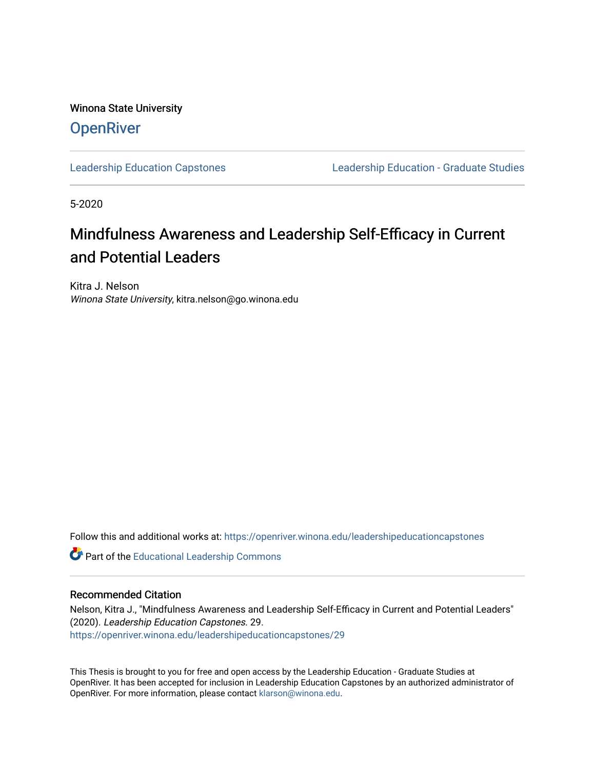Winona State University **OpenRiver** 

[Leadership Education Capstones](https://openriver.winona.edu/leadershipeducationcapstones) [Leadership Education - Graduate Studies](https://openriver.winona.edu/leadershipeducation) 

5-2020

# Mindfulness Awareness and Leadership Self-Efficacy in Current and Potential Leaders

Kitra J. Nelson Winona State University, kitra.nelson@go.winona.edu

Follow this and additional works at: [https://openriver.winona.edu/leadershipeducationcapstones](https://openriver.winona.edu/leadershipeducationcapstones?utm_source=openriver.winona.edu%2Fleadershipeducationcapstones%2F29&utm_medium=PDF&utm_campaign=PDFCoverPages) 

Part of the [Educational Leadership Commons](http://network.bepress.com/hgg/discipline/1230?utm_source=openriver.winona.edu%2Fleadershipeducationcapstones%2F29&utm_medium=PDF&utm_campaign=PDFCoverPages) 

### Recommended Citation

Nelson, Kitra J., "Mindfulness Awareness and Leadership Self-Efficacy in Current and Potential Leaders" (2020). Leadership Education Capstones. 29. [https://openriver.winona.edu/leadershipeducationcapstones/29](https://openriver.winona.edu/leadershipeducationcapstones/29?utm_source=openriver.winona.edu%2Fleadershipeducationcapstones%2F29&utm_medium=PDF&utm_campaign=PDFCoverPages) 

This Thesis is brought to you for free and open access by the Leadership Education - Graduate Studies at OpenRiver. It has been accepted for inclusion in Leadership Education Capstones by an authorized administrator of OpenRiver. For more information, please contact [klarson@winona.edu](mailto:klarson@winona.edu).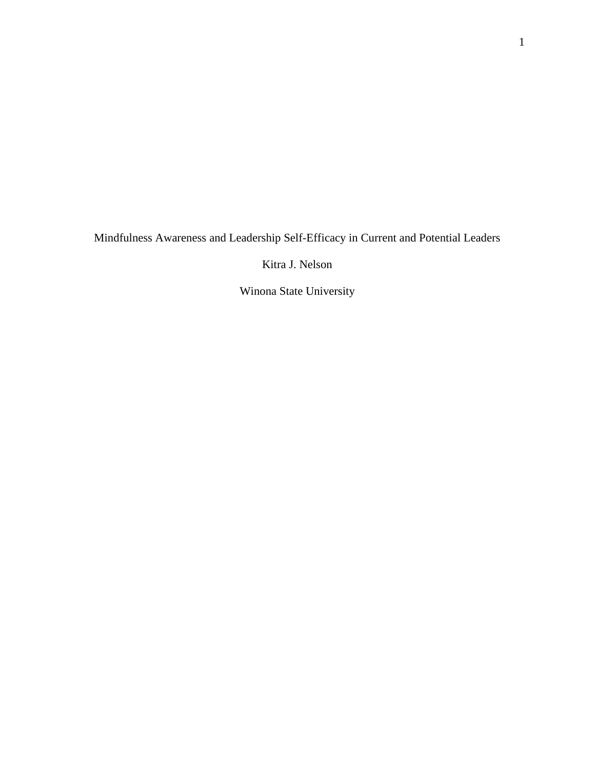Mindfulness Awareness and Leadership Self-Efficacy in Current and Potential Leaders

Kitra J. Nelson

Winona State University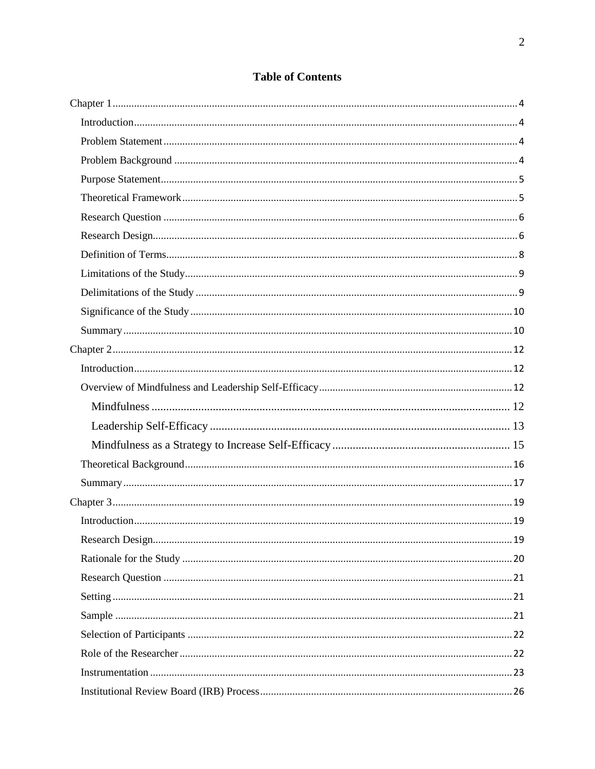# **Table of Contents**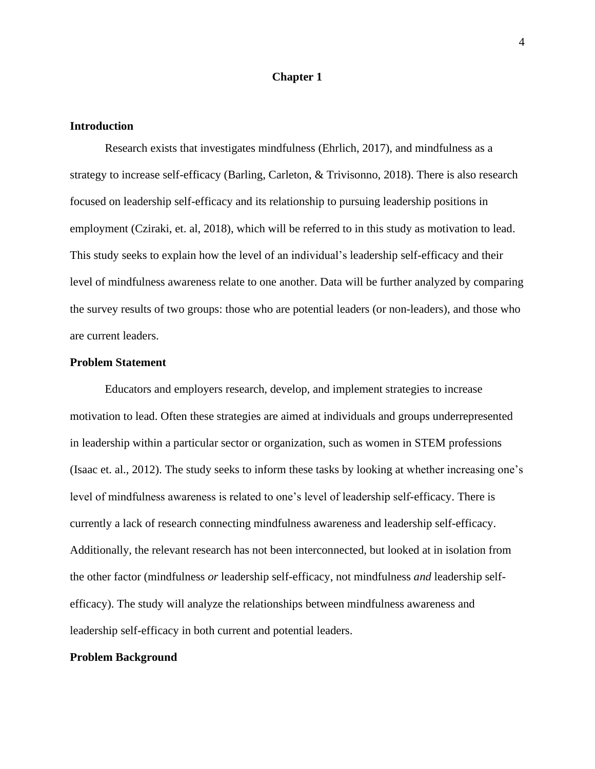### **Chapter 1**

#### <span id="page-4-1"></span><span id="page-4-0"></span>**Introduction**

Research exists that investigates mindfulness (Ehrlich, 2017), and mindfulness as a strategy to increase self-efficacy (Barling, Carleton, & Trivisonno, 2018). There is also research focused on leadership self-efficacy and its relationship to pursuing leadership positions in employment (Cziraki, et. al, 2018), which will be referred to in this study as motivation to lead. This study seeks to explain how the level of an individual's leadership self-efficacy and their level of mindfulness awareness relate to one another. Data will be further analyzed by comparing the survey results of two groups: those who are potential leaders (or non-leaders), and those who are current leaders.

### <span id="page-4-2"></span>**Problem Statement**

Educators and employers research, develop, and implement strategies to increase motivation to lead. Often these strategies are aimed at individuals and groups underrepresented in leadership within a particular sector or organization, such as women in STEM professions (Isaac et. al., 2012). The study seeks to inform these tasks by looking at whether increasing one's level of mindfulness awareness is related to one's level of leadership self-efficacy. There is currently a lack of research connecting mindfulness awareness and leadership self-efficacy. Additionally, the relevant research has not been interconnected, but looked at in isolation from the other factor (mindfulness *or* leadership self-efficacy, not mindfulness *and* leadership selfefficacy). The study will analyze the relationships between mindfulness awareness and leadership self-efficacy in both current and potential leaders.

# <span id="page-4-3"></span>**Problem Background**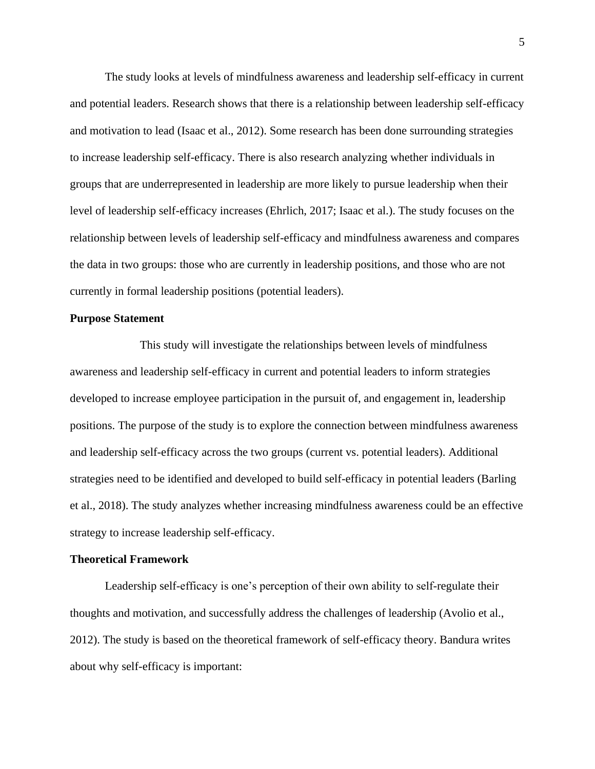The study looks at levels of mindfulness awareness and leadership self-efficacy in current and potential leaders. Research shows that there is a relationship between leadership self-efficacy and motivation to lead (Isaac et al., 2012). Some research has been done surrounding strategies to increase leadership self-efficacy. There is also research analyzing whether individuals in groups that are underrepresented in leadership are more likely to pursue leadership when their level of leadership self-efficacy increases (Ehrlich, 2017; Isaac et al.). The study focuses on the relationship between levels of leadership self-efficacy and mindfulness awareness and compares the data in two groups: those who are currently in leadership positions, and those who are not currently in formal leadership positions (potential leaders).

### <span id="page-5-0"></span>**Purpose Statement**

This study will investigate the relationships between levels of mindfulness awareness and leadership self-efficacy in current and potential leaders to inform strategies developed to increase employee participation in the pursuit of, and engagement in, leadership positions. The purpose of the study is to explore the connection between mindfulness awareness and leadership self-efficacy across the two groups (current vs. potential leaders). Additional strategies need to be identified and developed to build self-efficacy in potential leaders (Barling et al., 2018). The study analyzes whether increasing mindfulness awareness could be an effective strategy to increase leadership self-efficacy.

#### <span id="page-5-1"></span>**Theoretical Framework**

Leadership self-efficacy is one's perception of their own ability to self-regulate their thoughts and motivation, and successfully address the challenges of leadership (Avolio et al., 2012). The study is based on the theoretical framework of self-efficacy theory. Bandura writes about why self-efficacy is important: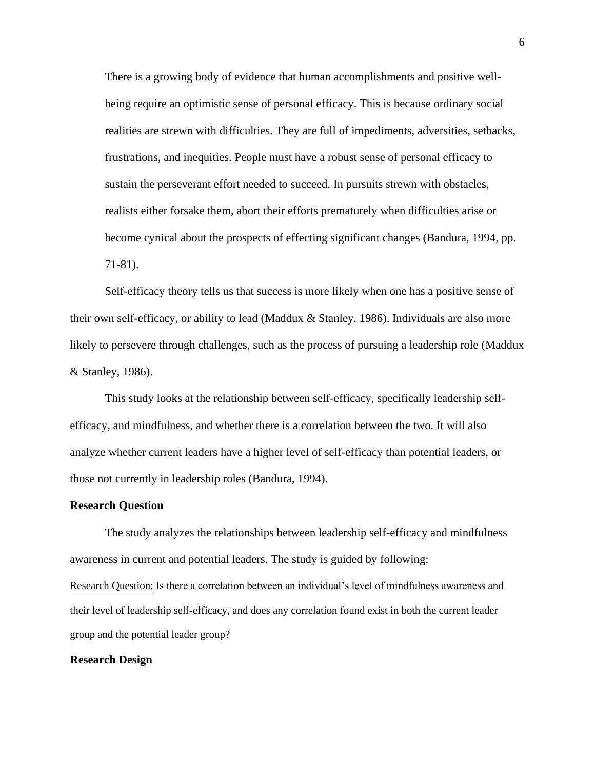There is a growing body of evidence that human accomplishments and positive wellbeing require an optimistic sense of personal efficacy. This is because ordinary social realities are strewn with difficulties. They are full of impediments, adversities, setbacks, frustrations, and inequities. People must have a robust sense of personal efficacy to sustain the perseverant effort needed to succeed. In pursuits strewn with obstacles, realists either forsake them, abort their efforts prematurely when difficulties arise or become cynical about the prospects of effecting significant changes (Bandura, 1994, pp. 71-81).

Self-efficacy theory tells us that success is more likely when one has a positive sense of their own self-efficacy, or ability to lead (Maddux & Stanley, 1986). Individuals are also more likely to persevere through challenges, such as the process of pursuing a leadership role (Maddux & Stanley, 1986).

This study looks at the relationship between self-efficacy, specifically leadership selfefficacy, and mindfulness, and whether there is a correlation between the two. It will also analyze whether current leaders have a higher level of self-efficacy than potential leaders, or those not currently in leadership roles (Bandura, 1994).

#### <span id="page-6-0"></span>**Research Question**

The study analyzes the relationships between leadership self-efficacy and mindfulness awareness in current and potential leaders. The study is guided by following: Research Question: Is there a correlation between an individual's level of mindfulness awareness and their level of leadership self-efficacy, and does any correlation found exist in both the current leader group and the potential leader group?

### <span id="page-6-1"></span>**Research Design**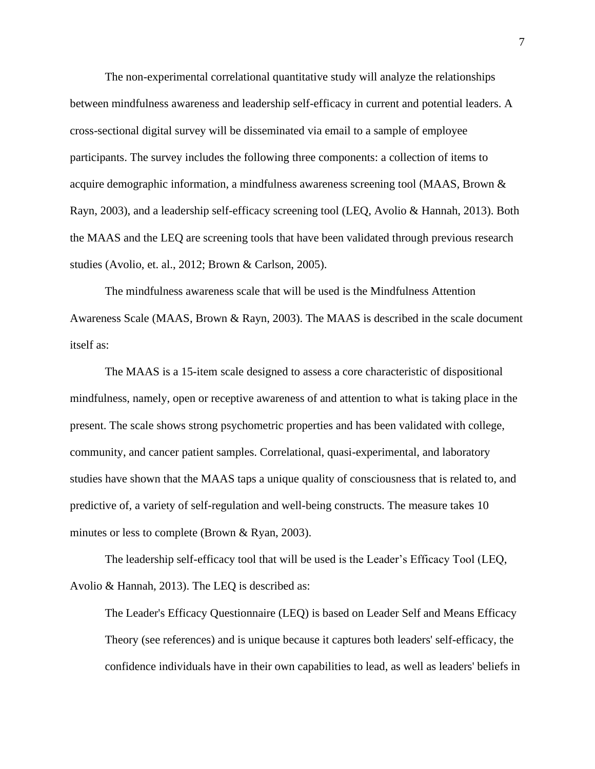The non-experimental correlational quantitative study will analyze the relationships between mindfulness awareness and leadership self-efficacy in current and potential leaders. A cross-sectional digital survey will be disseminated via email to a sample of employee participants. The survey includes the following three components: a collection of items to acquire demographic information, a mindfulness awareness screening tool (MAAS, Brown & Rayn, 2003), and a leadership self-efficacy screening tool (LEQ, Avolio & Hannah, 2013). Both the MAAS and the LEQ are screening tools that have been validated through previous research studies (Avolio, et. al., 2012; Brown & Carlson, 2005).

The mindfulness awareness scale that will be used is the Mindfulness Attention Awareness Scale (MAAS, Brown & Rayn, 2003). The MAAS is described in the scale document itself as:

The MAAS is a 15-item scale designed to assess a core characteristic of dispositional mindfulness, namely, open or receptive awareness of and attention to what is taking place in the present. The scale shows strong psychometric properties and has been validated with college, community, and cancer patient samples. Correlational, quasi-experimental, and laboratory studies have shown that the MAAS taps a unique quality of consciousness that is related to, and predictive of, a variety of self-regulation and well-being constructs. The measure takes 10 minutes or less to complete (Brown & Ryan, 2003).

The leadership self-efficacy tool that will be used is the Leader's Efficacy Tool (LEQ, Avolio & Hannah, 2013). The LEQ is described as:

The Leader's Efficacy Questionnaire (LEQ) is based on Leader Self and Means Efficacy Theory (see references) and is unique because it captures both leaders' self-efficacy, the confidence individuals have in their own capabilities to lead, as well as leaders' beliefs in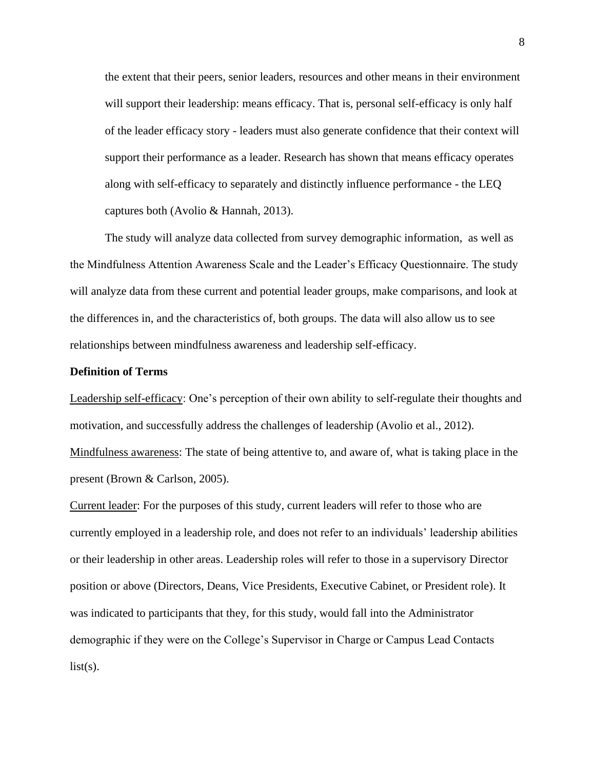the extent that their peers, senior leaders, resources and other means in their environment will support their leadership: means efficacy. That is, personal self-efficacy is only half of the leader efficacy story - leaders must also generate confidence that their context will support their performance as a leader. Research has shown that means efficacy operates along with self-efficacy to separately and distinctly influence performance - the LEQ captures both (Avolio & Hannah, 2013).

The study will analyze data collected from survey demographic information, as well as the Mindfulness Attention Awareness Scale and the Leader's Efficacy Questionnaire. The study will analyze data from these current and potential leader groups, make comparisons, and look at the differences in, and the characteristics of, both groups. The data will also allow us to see relationships between mindfulness awareness and leadership self-efficacy.

### <span id="page-8-0"></span>**Definition of Terms**

Leadership self-efficacy: One's perception of their own ability to self-regulate their thoughts and motivation, and successfully address the challenges of leadership (Avolio et al., 2012). Mindfulness awareness: The state of being attentive to, and aware of, what is taking place in the present (Brown & Carlson, 2005).

Current leader: For the purposes of this study, current leaders will refer to those who are currently employed in a leadership role, and does not refer to an individuals' leadership abilities or their leadership in other areas. Leadership roles will refer to those in a supervisory Director position or above (Directors, Deans, Vice Presidents, Executive Cabinet, or President role). It was indicated to participants that they, for this study, would fall into the Administrator demographic if they were on the College's Supervisor in Charge or Campus Lead Contacts  $list(s)$ .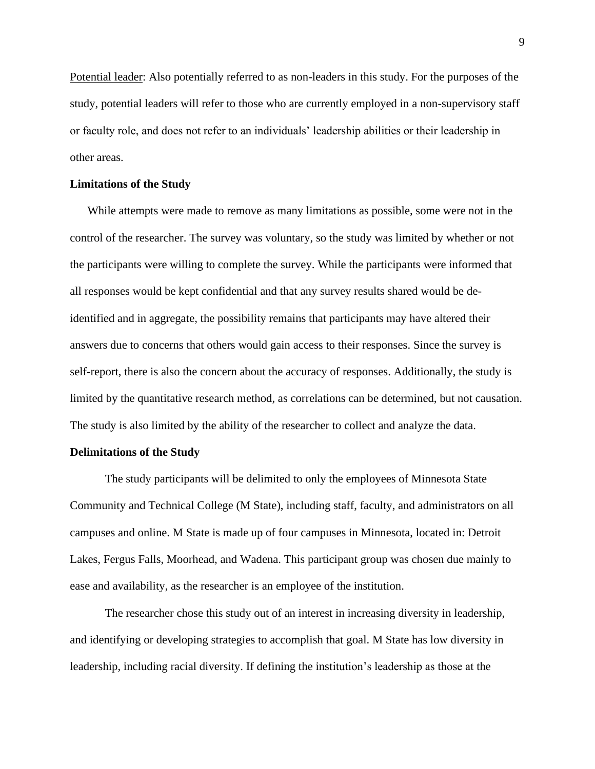Potential leader: Also potentially referred to as non-leaders in this study. For the purposes of the study, potential leaders will refer to those who are currently employed in a non-supervisory staff or faculty role, and does not refer to an individuals' leadership abilities or their leadership in other areas.

#### <span id="page-9-0"></span>**Limitations of the Study**

While attempts were made to remove as many limitations as possible, some were not in the control of the researcher. The survey was voluntary, so the study was limited by whether or not the participants were willing to complete the survey. While the participants were informed that all responses would be kept confidential and that any survey results shared would be deidentified and in aggregate, the possibility remains that participants may have altered their answers due to concerns that others would gain access to their responses. Since the survey is self-report, there is also the concern about the accuracy of responses. Additionally, the study is limited by the quantitative research method, as correlations can be determined, but not causation. The study is also limited by the ability of the researcher to collect and analyze the data.

### <span id="page-9-1"></span>**Delimitations of the Study**

The study participants will be delimited to only the employees of Minnesota State Community and Technical College (M State), including staff, faculty, and administrators on all campuses and online. M State is made up of four campuses in Minnesota, located in: Detroit Lakes, Fergus Falls, Moorhead, and Wadena. This participant group was chosen due mainly to ease and availability, as the researcher is an employee of the institution.

The researcher chose this study out of an interest in increasing diversity in leadership, and identifying or developing strategies to accomplish that goal. M State has low diversity in leadership, including racial diversity. If defining the institution's leadership as those at the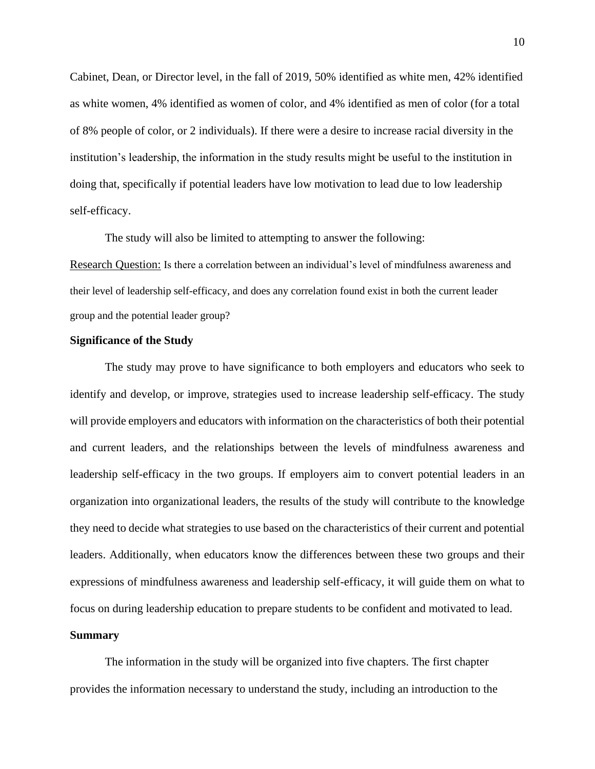Cabinet, Dean, or Director level, in the fall of 2019, 50% identified as white men, 42% identified as white women, 4% identified as women of color, and 4% identified as men of color (for a total of 8% people of color, or 2 individuals). If there were a desire to increase racial diversity in the institution's leadership, the information in the study results might be useful to the institution in doing that, specifically if potential leaders have low motivation to lead due to low leadership self-efficacy.

The study will also be limited to attempting to answer the following:

Research Question: Is there a correlation between an individual's level of mindfulness awareness and their level of leadership self-efficacy, and does any correlation found exist in both the current leader group and the potential leader group?

### <span id="page-10-0"></span>**Significance of the Study**

The study may prove to have significance to both employers and educators who seek to identify and develop, or improve, strategies used to increase leadership self-efficacy. The study will provide employers and educators with information on the characteristics of both their potential and current leaders, and the relationships between the levels of mindfulness awareness and leadership self-efficacy in the two groups. If employers aim to convert potential leaders in an organization into organizational leaders, the results of the study will contribute to the knowledge they need to decide what strategies to use based on the characteristics of their current and potential leaders. Additionally, when educators know the differences between these two groups and their expressions of mindfulness awareness and leadership self-efficacy, it will guide them on what to focus on during leadership education to prepare students to be confident and motivated to lead.

### <span id="page-10-1"></span>**Summary**

The information in the study will be organized into five chapters. The first chapter provides the information necessary to understand the study, including an introduction to the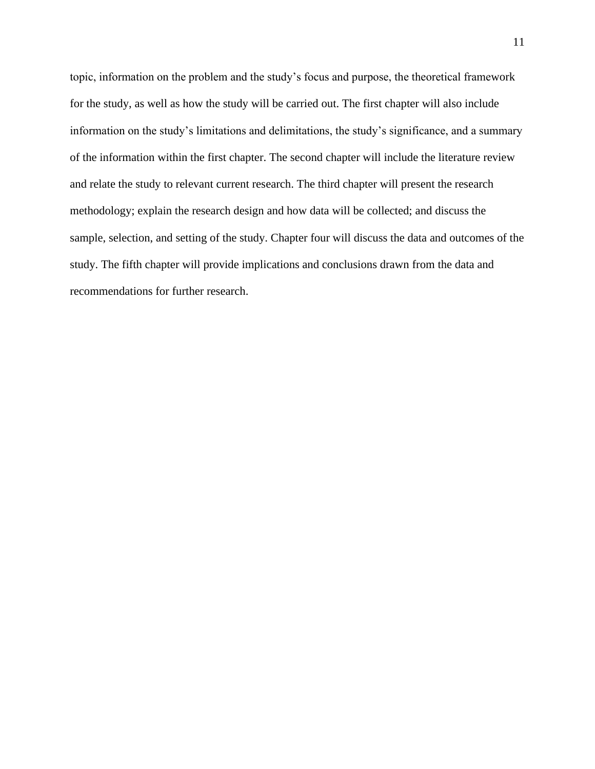topic, information on the problem and the study's focus and purpose, the theoretical framework for the study, as well as how the study will be carried out. The first chapter will also include information on the study's limitations and delimitations, the study's significance, and a summary of the information within the first chapter. The second chapter will include the literature review and relate the study to relevant current research. The third chapter will present the research methodology; explain the research design and how data will be collected; and discuss the sample, selection, and setting of the study. Chapter four will discuss the data and outcomes of the study. The fifth chapter will provide implications and conclusions drawn from the data and recommendations for further research.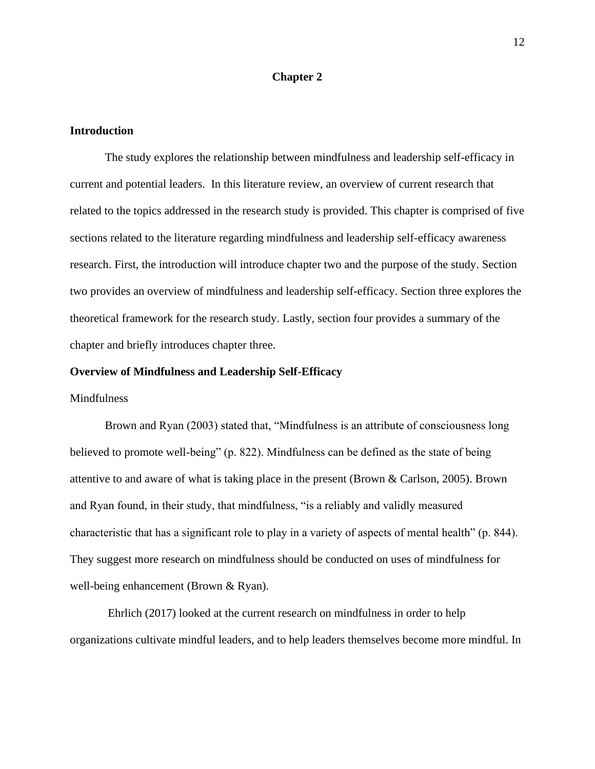### **Chapter 2**

#### <span id="page-12-1"></span><span id="page-12-0"></span>**Introduction**

The study explores the relationship between mindfulness and leadership self-efficacy in current and potential leaders. In this literature review, an overview of current research that related to the topics addressed in the research study is provided. This chapter is comprised of five sections related to the literature regarding mindfulness and leadership self-efficacy awareness research. First, the introduction will introduce chapter two and the purpose of the study. Section two provides an overview of mindfulness and leadership self-efficacy. Section three explores the theoretical framework for the research study. Lastly, section four provides a summary of the chapter and briefly introduces chapter three.

#### <span id="page-12-2"></span>**Overview of Mindfulness and Leadership Self-Efficacy**

#### <span id="page-12-3"></span>Mindfulness

Brown and Ryan (2003) stated that, "Mindfulness is an attribute of consciousness long believed to promote well-being" (p. 822). Mindfulness can be defined as the state of being attentive to and aware of what is taking place in the present (Brown & Carlson, 2005). Brown and Ryan found, in their study, that mindfulness, "is a reliably and validly measured characteristic that has a significant role to play in a variety of aspects of mental health" (p. 844). They suggest more research on mindfulness should be conducted on uses of mindfulness for well-being enhancement (Brown & Ryan).

Ehrlich (2017) looked at the current research on mindfulness in order to help organizations cultivate mindful leaders, and to help leaders themselves become more mindful. In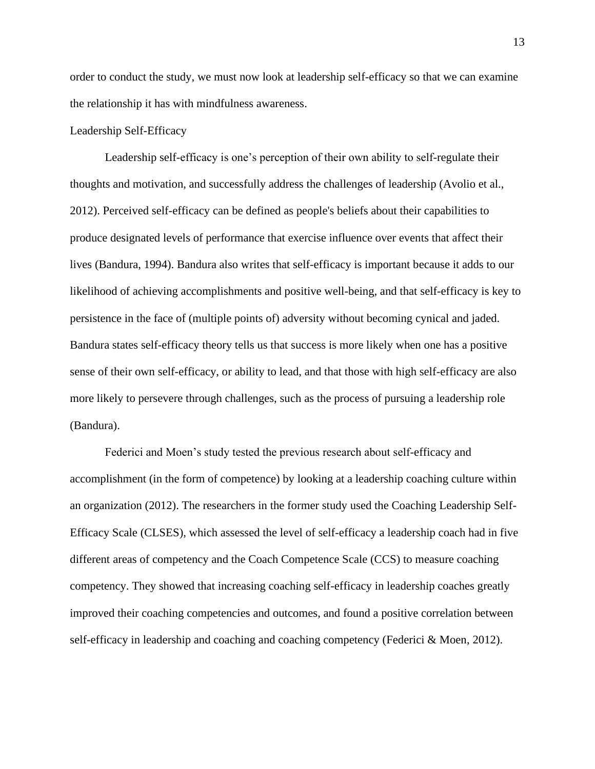order to conduct the study, we must now look at leadership self-efficacy so that we can examine the relationship it has with mindfulness awareness.

### <span id="page-13-0"></span>Leadership Self-Efficacy

Leadership self-efficacy is one's perception of their own ability to self-regulate their thoughts and motivation, and successfully address the challenges of leadership (Avolio et al., 2012). Perceived self-efficacy can be defined as people's beliefs about their capabilities to produce designated levels of performance that exercise influence over events that affect their lives (Bandura, 1994). Bandura also writes that self-efficacy is important because it adds to our likelihood of achieving accomplishments and positive well-being, and that self-efficacy is key to persistence in the face of (multiple points of) adversity without becoming cynical and jaded. Bandura states self-efficacy theory tells us that success is more likely when one has a positive sense of their own self-efficacy, or ability to lead, and that those with high self-efficacy are also more likely to persevere through challenges, such as the process of pursuing a leadership role (Bandura).

Federici and Moen's study tested the previous research about self-efficacy and accomplishment (in the form of competence) by looking at a leadership coaching culture within an organization (2012). The researchers in the former study used the Coaching Leadership Self-Efficacy Scale (CLSES), which assessed the level of self-efficacy a leadership coach had in five different areas of competency and the Coach Competence Scale (CCS) to measure coaching competency. They showed that increasing coaching self-efficacy in leadership coaches greatly improved their coaching competencies and outcomes, and found a positive correlation between self-efficacy in leadership and coaching and coaching competency (Federici & Moen, 2012).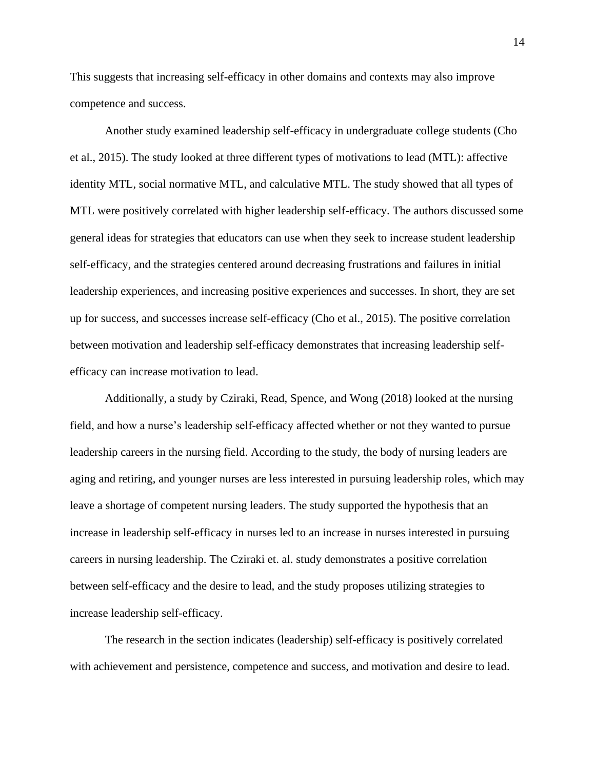This suggests that increasing self-efficacy in other domains and contexts may also improve competence and success.

Another study examined leadership self-efficacy in undergraduate college students (Cho et al., 2015). The study looked at three different types of motivations to lead (MTL): affective identity MTL, social normative MTL, and calculative MTL. The study showed that all types of MTL were positively correlated with higher leadership self-efficacy. The authors discussed some general ideas for strategies that educators can use when they seek to increase student leadership self-efficacy, and the strategies centered around decreasing frustrations and failures in initial leadership experiences, and increasing positive experiences and successes. In short, they are set up for success, and successes increase self-efficacy (Cho et al., 2015). The positive correlation between motivation and leadership self-efficacy demonstrates that increasing leadership selfefficacy can increase motivation to lead.

Additionally, a study by Cziraki, Read, Spence, and Wong (2018) looked at the nursing field, and how a nurse's leadership self-efficacy affected whether or not they wanted to pursue leadership careers in the nursing field. According to the study, the body of nursing leaders are aging and retiring, and younger nurses are less interested in pursuing leadership roles, which may leave a shortage of competent nursing leaders. The study supported the hypothesis that an increase in leadership self-efficacy in nurses led to an increase in nurses interested in pursuing careers in nursing leadership. The Cziraki et. al. study demonstrates a positive correlation between self-efficacy and the desire to lead, and the study proposes utilizing strategies to increase leadership self-efficacy.

The research in the section indicates (leadership) self-efficacy is positively correlated with achievement and persistence, competence and success, and motivation and desire to lead.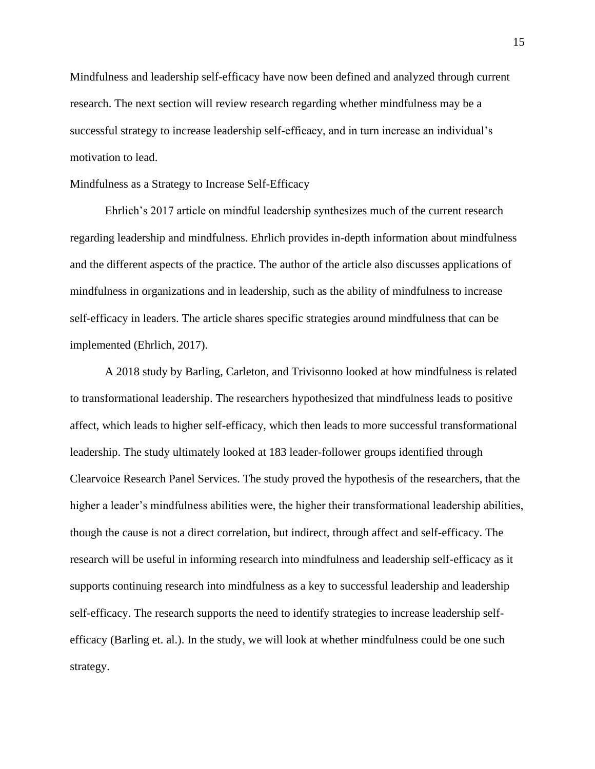Mindfulness and leadership self-efficacy have now been defined and analyzed through current research. The next section will review research regarding whether mindfulness may be a successful strategy to increase leadership self-efficacy, and in turn increase an individual's motivation to lead.

#### <span id="page-15-0"></span>Mindfulness as a Strategy to Increase Self-Efficacy

Ehrlich's 2017 article on mindful leadership synthesizes much of the current research regarding leadership and mindfulness. Ehrlich provides in-depth information about mindfulness and the different aspects of the practice. The author of the article also discusses applications of mindfulness in organizations and in leadership, such as the ability of mindfulness to increase self-efficacy in leaders. The article shares specific strategies around mindfulness that can be implemented (Ehrlich, 2017).

A 2018 study by Barling, Carleton, and Trivisonno looked at how mindfulness is related to transformational leadership. The researchers hypothesized that mindfulness leads to positive affect, which leads to higher self-efficacy, which then leads to more successful transformational leadership. The study ultimately looked at 183 leader-follower groups identified through Clearvoice Research Panel Services. The study proved the hypothesis of the researchers, that the higher a leader's mindfulness abilities were, the higher their transformational leadership abilities, though the cause is not a direct correlation, but indirect, through affect and self-efficacy. The research will be useful in informing research into mindfulness and leadership self-efficacy as it supports continuing research into mindfulness as a key to successful leadership and leadership self-efficacy. The research supports the need to identify strategies to increase leadership selfefficacy (Barling et. al.). In the study, we will look at whether mindfulness could be one such strategy.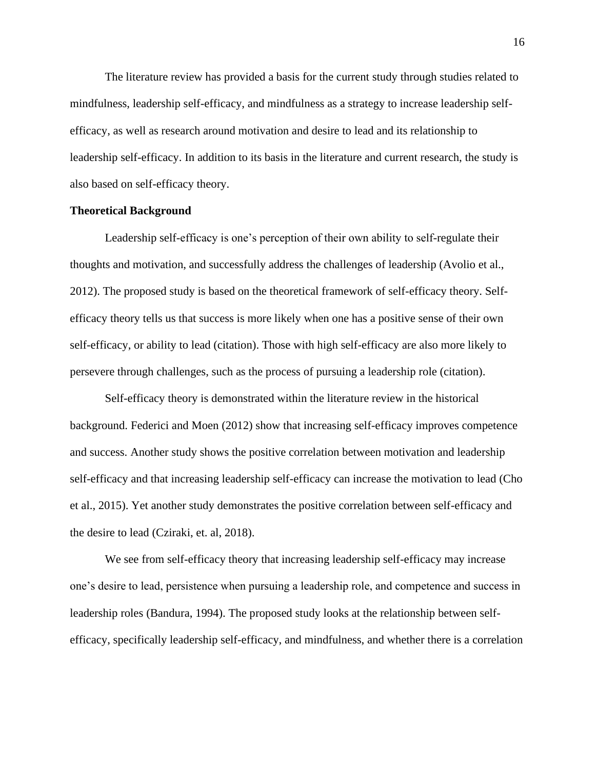The literature review has provided a basis for the current study through studies related to mindfulness, leadership self-efficacy, and mindfulness as a strategy to increase leadership selfefficacy, as well as research around motivation and desire to lead and its relationship to leadership self-efficacy. In addition to its basis in the literature and current research, the study is also based on self-efficacy theory.

### <span id="page-16-0"></span>**Theoretical Background**

Leadership self-efficacy is one's perception of their own ability to self-regulate their thoughts and motivation, and successfully address the challenges of leadership (Avolio et al., 2012). The proposed study is based on the theoretical framework of self-efficacy theory. Selfefficacy theory tells us that success is more likely when one has a positive sense of their own self-efficacy, or ability to lead (citation). Those with high self-efficacy are also more likely to persevere through challenges, such as the process of pursuing a leadership role (citation).

Self-efficacy theory is demonstrated within the literature review in the historical background. Federici and Moen (2012) show that increasing self-efficacy improves competence and success. Another study shows the positive correlation between motivation and leadership self-efficacy and that increasing leadership self-efficacy can increase the motivation to lead (Cho et al., 2015). Yet another study demonstrates the positive correlation between self-efficacy and the desire to lead (Cziraki, et. al, 2018).

We see from self-efficacy theory that increasing leadership self-efficacy may increase one's desire to lead, persistence when pursuing a leadership role, and competence and success in leadership roles (Bandura, 1994). The proposed study looks at the relationship between selfefficacy, specifically leadership self-efficacy, and mindfulness, and whether there is a correlation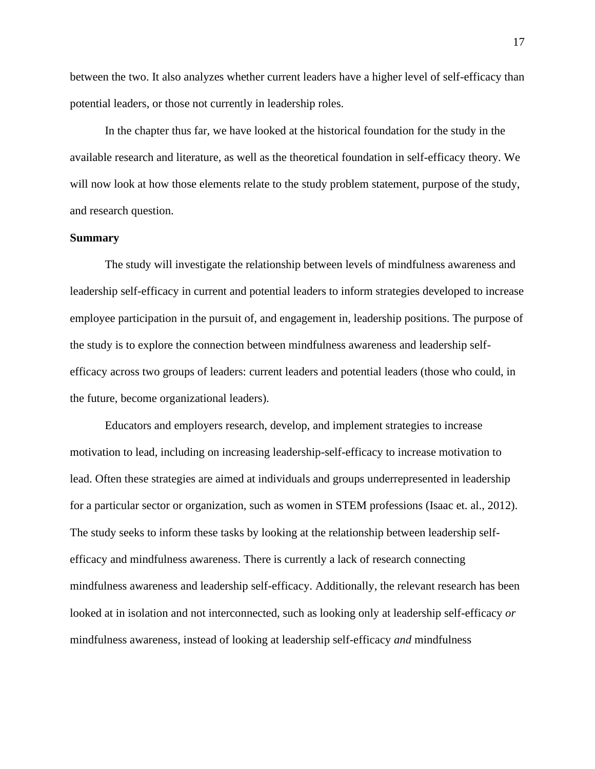between the two. It also analyzes whether current leaders have a higher level of self-efficacy than potential leaders, or those not currently in leadership roles.

In the chapter thus far, we have looked at the historical foundation for the study in the available research and literature, as well as the theoretical foundation in self-efficacy theory. We will now look at how those elements relate to the study problem statement, purpose of the study, and research question.

#### <span id="page-17-0"></span>**Summary**

The study will investigate the relationship between levels of mindfulness awareness and leadership self-efficacy in current and potential leaders to inform strategies developed to increase employee participation in the pursuit of, and engagement in, leadership positions. The purpose of the study is to explore the connection between mindfulness awareness and leadership selfefficacy across two groups of leaders: current leaders and potential leaders (those who could, in the future, become organizational leaders).

Educators and employers research, develop, and implement strategies to increase motivation to lead, including on increasing leadership-self-efficacy to increase motivation to lead. Often these strategies are aimed at individuals and groups underrepresented in leadership for a particular sector or organization, such as women in STEM professions (Isaac et. al., 2012). The study seeks to inform these tasks by looking at the relationship between leadership selfefficacy and mindfulness awareness. There is currently a lack of research connecting mindfulness awareness and leadership self-efficacy. Additionally, the relevant research has been looked at in isolation and not interconnected, such as looking only at leadership self-efficacy *or* mindfulness awareness, instead of looking at leadership self-efficacy *and* mindfulness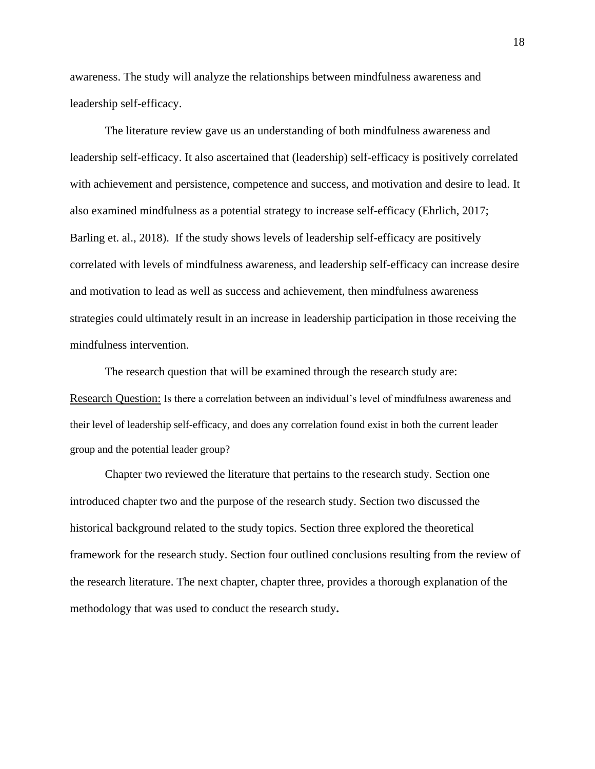awareness. The study will analyze the relationships between mindfulness awareness and leadership self-efficacy.

The literature review gave us an understanding of both mindfulness awareness and leadership self-efficacy. It also ascertained that (leadership) self-efficacy is positively correlated with achievement and persistence, competence and success, and motivation and desire to lead. It also examined mindfulness as a potential strategy to increase self-efficacy (Ehrlich, 2017; Barling et. al., 2018). If the study shows levels of leadership self-efficacy are positively correlated with levels of mindfulness awareness, and leadership self-efficacy can increase desire and motivation to lead as well as success and achievement, then mindfulness awareness strategies could ultimately result in an increase in leadership participation in those receiving the mindfulness intervention.

The research question that will be examined through the research study are: Research Question: Is there a correlation between an individual's level of mindfulness awareness and their level of leadership self-efficacy, and does any correlation found exist in both the current leader group and the potential leader group?

Chapter two reviewed the literature that pertains to the research study. Section one introduced chapter two and the purpose of the research study. Section two discussed the historical background related to the study topics. Section three explored the theoretical framework for the research study. Section four outlined conclusions resulting from the review of the research literature. The next chapter, chapter three, provides a thorough explanation of the methodology that was used to conduct the research study**.** 

18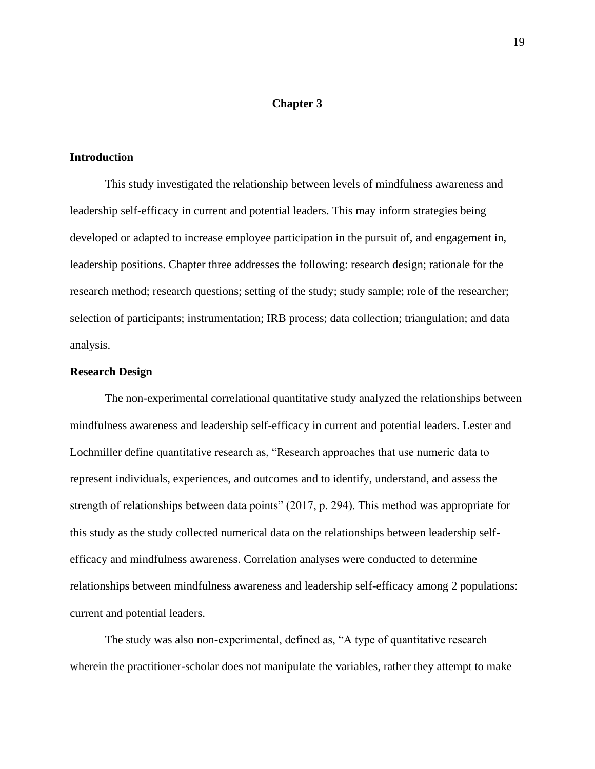### **Chapter 3**

### <span id="page-19-1"></span><span id="page-19-0"></span>**Introduction**

This study investigated the relationship between levels of mindfulness awareness and leadership self-efficacy in current and potential leaders. This may inform strategies being developed or adapted to increase employee participation in the pursuit of, and engagement in, leadership positions. Chapter three addresses the following: research design; rationale for the research method; research questions; setting of the study; study sample; role of the researcher; selection of participants; instrumentation; IRB process; data collection; triangulation; and data analysis.

### <span id="page-19-2"></span>**Research Design**

The non-experimental correlational quantitative study analyzed the relationships between mindfulness awareness and leadership self-efficacy in current and potential leaders. Lester and Lochmiller define quantitative research as, "Research approaches that use numeric data to represent individuals, experiences, and outcomes and to identify, understand, and assess the strength of relationships between data points" (2017, p. 294). This method was appropriate for this study as the study collected numerical data on the relationships between leadership selfefficacy and mindfulness awareness. Correlation analyses were conducted to determine relationships between mindfulness awareness and leadership self-efficacy among 2 populations: current and potential leaders.

The study was also non-experimental, defined as, "A type of quantitative research wherein the practitioner-scholar does not manipulate the variables, rather they attempt to make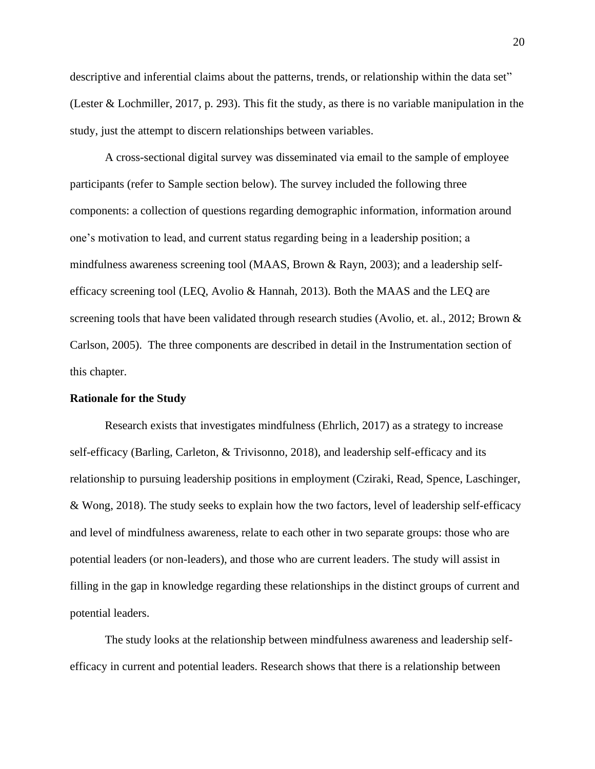descriptive and inferential claims about the patterns, trends, or relationship within the data set" (Lester & Lochmiller, 2017, p. 293). This fit the study, as there is no variable manipulation in the study, just the attempt to discern relationships between variables.

A cross-sectional digital survey was disseminated via email to the sample of employee participants (refer to Sample section below). The survey included the following three components: a collection of questions regarding demographic information, information around one's motivation to lead, and current status regarding being in a leadership position; a mindfulness awareness screening tool (MAAS, Brown & Rayn, 2003); and a leadership selfefficacy screening tool (LEQ, Avolio & Hannah, 2013). Both the MAAS and the LEQ are screening tools that have been validated through research studies (Avolio, et. al., 2012; Brown & Carlson, 2005). The three components are described in detail in the Instrumentation section of this chapter.

#### <span id="page-20-0"></span>**Rationale for the Study**

Research exists that investigates mindfulness (Ehrlich, 2017) as a strategy to increase self-efficacy (Barling, Carleton, & Trivisonno, 2018), and leadership self-efficacy and its relationship to pursuing leadership positions in employment (Cziraki, Read, Spence, Laschinger, & Wong, 2018). The study seeks to explain how the two factors, level of leadership self-efficacy and level of mindfulness awareness, relate to each other in two separate groups: those who are potential leaders (or non-leaders), and those who are current leaders. The study will assist in filling in the gap in knowledge regarding these relationships in the distinct groups of current and potential leaders.

The study looks at the relationship between mindfulness awareness and leadership selfefficacy in current and potential leaders. Research shows that there is a relationship between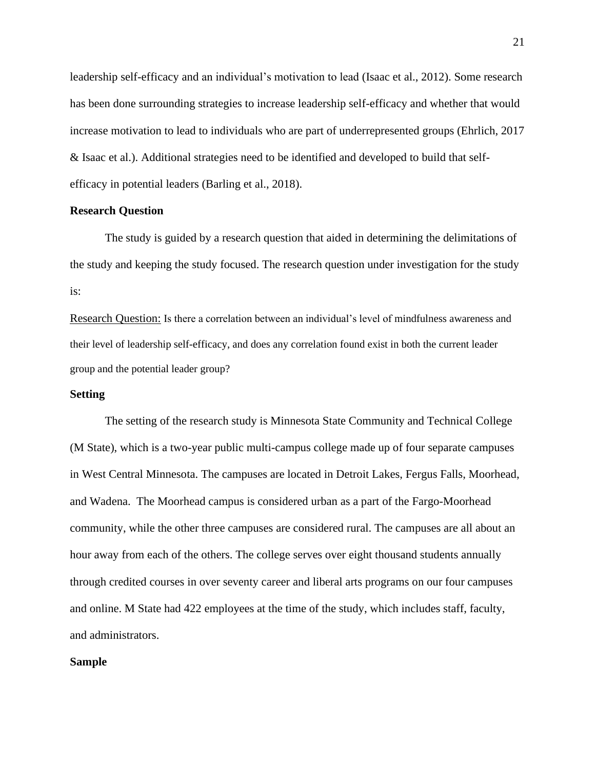leadership self-efficacy and an individual's motivation to lead (Isaac et al., 2012). Some research has been done surrounding strategies to increase leadership self-efficacy and whether that would increase motivation to lead to individuals who are part of underrepresented groups (Ehrlich, 2017 & Isaac et al.). Additional strategies need to be identified and developed to build that selfefficacy in potential leaders (Barling et al., 2018).

### <span id="page-21-0"></span>**Research Question**

The study is guided by a research question that aided in determining the delimitations of the study and keeping the study focused. The research question under investigation for the study is:

Research Question: Is there a correlation between an individual's level of mindfulness awareness and their level of leadership self-efficacy, and does any correlation found exist in both the current leader group and the potential leader group?

#### <span id="page-21-1"></span>**Setting**

The setting of the research study is Minnesota State Community and Technical College (M State), which is a two-year public multi-campus college made up of four separate campuses in West Central Minnesota. The campuses are located in Detroit Lakes, Fergus Falls, Moorhead, and Wadena. The Moorhead campus is considered urban as a part of the Fargo-Moorhead community, while the other three campuses are considered rural. The campuses are all about an hour away from each of the others. The college serves over eight thousand students annually through credited courses in over seventy career and liberal arts programs on our four campuses and online. M State had 422 employees at the time of the study, which includes staff, faculty, and administrators.

### <span id="page-21-2"></span>**Sample**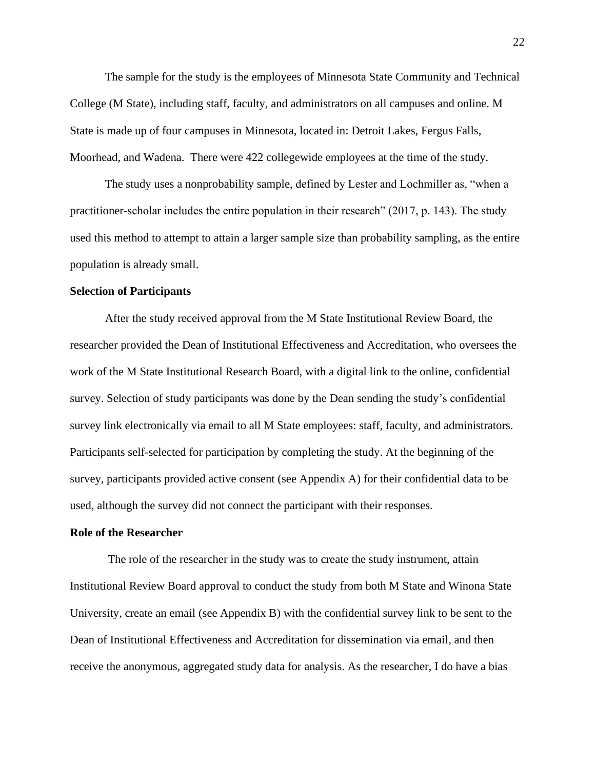The sample for the study is the employees of Minnesota State Community and Technical College (M State), including staff, faculty, and administrators on all campuses and online. M State is made up of four campuses in Minnesota, located in: Detroit Lakes, Fergus Falls, Moorhead, and Wadena. There were 422 collegewide employees at the time of the study.

The study uses a nonprobability sample, defined by Lester and Lochmiller as, "when a practitioner-scholar includes the entire population in their research" (2017, p. 143). The study used this method to attempt to attain a larger sample size than probability sampling, as the entire population is already small.

### <span id="page-22-0"></span>**Selection of Participants**

After the study received approval from the M State Institutional Review Board, the researcher provided the Dean of Institutional Effectiveness and Accreditation, who oversees the work of the M State Institutional Research Board, with a digital link to the online, confidential survey. Selection of study participants was done by the Dean sending the study's confidential survey link electronically via email to all M State employees: staff, faculty, and administrators. Participants self-selected for participation by completing the study. At the beginning of the survey, participants provided active consent (see Appendix A) for their confidential data to be used, although the survey did not connect the participant with their responses.

### <span id="page-22-1"></span>**Role of the Researcher**

The role of the researcher in the study was to create the study instrument, attain Institutional Review Board approval to conduct the study from both M State and Winona State University, create an email (see Appendix B) with the confidential survey link to be sent to the Dean of Institutional Effectiveness and Accreditation for dissemination via email, and then receive the anonymous, aggregated study data for analysis. As the researcher, I do have a bias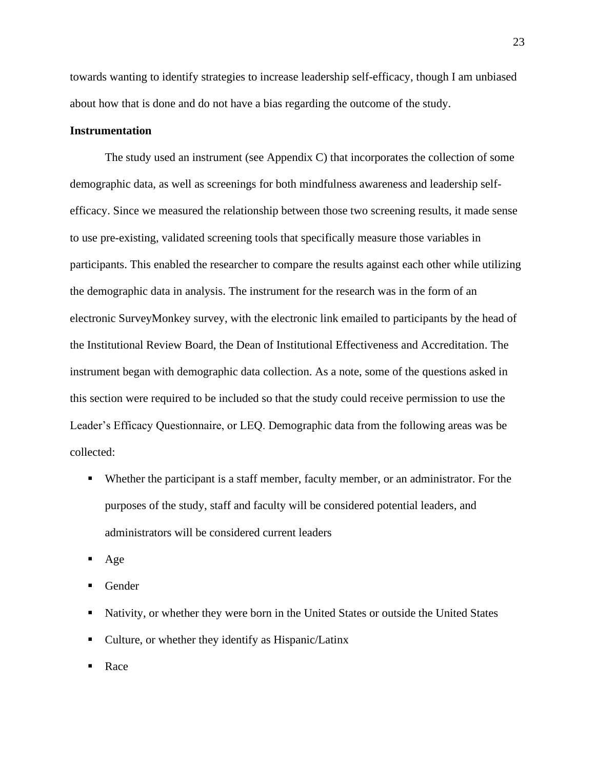towards wanting to identify strategies to increase leadership self-efficacy, though I am unbiased about how that is done and do not have a bias regarding the outcome of the study.

### <span id="page-23-0"></span>**Instrumentation**

The study used an instrument (see Appendix C) that incorporates the collection of some demographic data, as well as screenings for both mindfulness awareness and leadership selfefficacy. Since we measured the relationship between those two screening results, it made sense to use pre-existing, validated screening tools that specifically measure those variables in participants. This enabled the researcher to compare the results against each other while utilizing the demographic data in analysis. The instrument for the research was in the form of an electronic SurveyMonkey survey, with the electronic link emailed to participants by the head of the Institutional Review Board, the Dean of Institutional Effectiveness and Accreditation. The instrument began with demographic data collection. As a note, some of the questions asked in this section were required to be included so that the study could receive permission to use the Leader's Efficacy Questionnaire, or LEQ. Demographic data from the following areas was be collected:

- Whether the participant is a staff member, faculty member, or an administrator. For the purposes of the study, staff and faculty will be considered potential leaders, and administrators will be considered current leaders
- Age
- **Gender**
- Nativity, or whether they were born in the United States or outside the United States
- Culture, or whether they identify as Hispanic/Latinx
- **Race**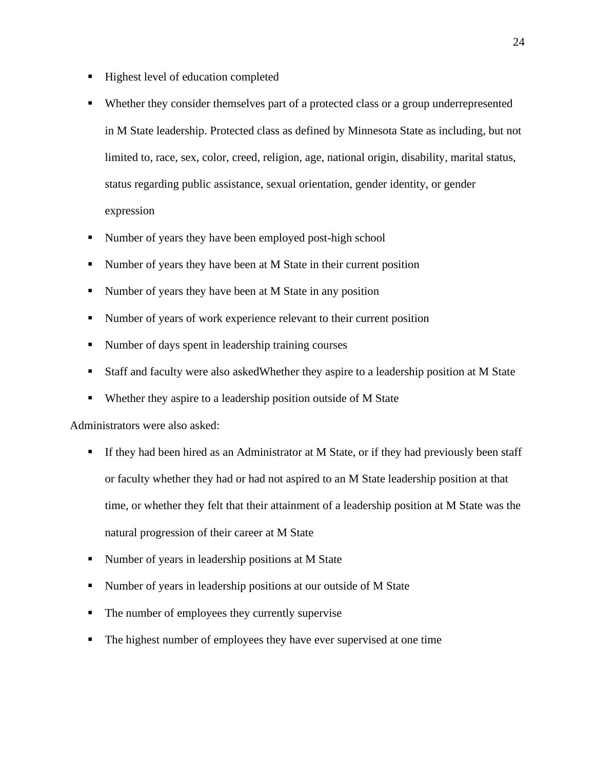- Highest level of education completed
- Whether they consider themselves part of a protected class or a group underrepresented in M State leadership. Protected class as defined by Minnesota State as including, but not limited to, race, sex, color, creed, religion, age, national origin, disability, marital status, status regarding public assistance, sexual orientation, gender identity, or gender expression
- Number of years they have been employed post-high school
- Number of years they have been at M State in their current position
- Number of years they have been at M State in any position
- Number of years of work experience relevant to their current position
- Number of days spent in leadership training courses
- Staff and faculty were also askedWhether they aspire to a leadership position at M State
- Whether they aspire to a leadership position outside of M State

#### Administrators were also asked:

- **•** If they had been hired as an Administrator at M State, or if they had previously been staff or faculty whether they had or had not aspired to an M State leadership position at that time, or whether they felt that their attainment of a leadership position at M State was the natural progression of their career at M State
- Number of years in leadership positions at M State
- Number of years in leadership positions at our outside of M State
- The number of employees they currently supervise
- The highest number of employees they have ever supervised at one time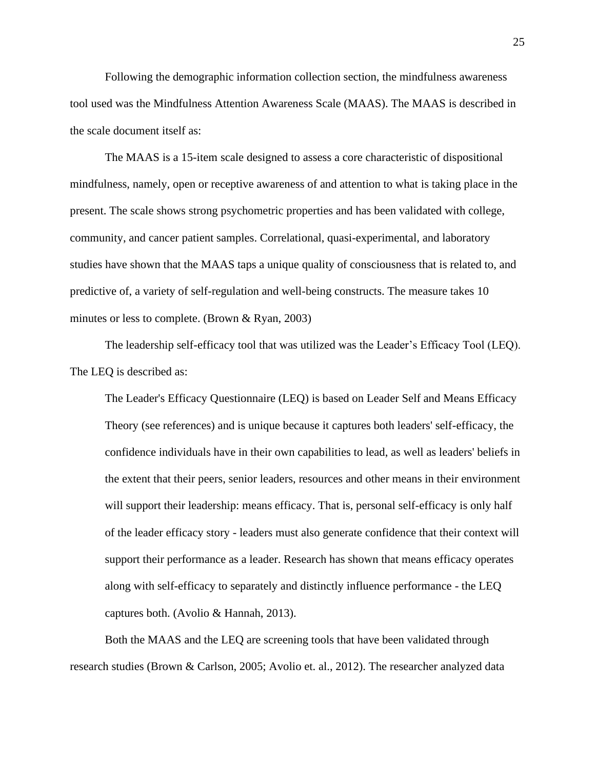Following the demographic information collection section, the mindfulness awareness tool used was the Mindfulness Attention Awareness Scale (MAAS). The MAAS is described in the scale document itself as:

The MAAS is a 15-item scale designed to assess a core characteristic of dispositional mindfulness, namely, open or receptive awareness of and attention to what is taking place in the present. The scale shows strong psychometric properties and has been validated with college, community, and cancer patient samples. Correlational, quasi-experimental, and laboratory studies have shown that the MAAS taps a unique quality of consciousness that is related to, and predictive of, a variety of self-regulation and well-being constructs. The measure takes 10 minutes or less to complete. (Brown & Ryan, 2003)

The leadership self-efficacy tool that was utilized was the Leader's Efficacy Tool (LEQ). The LEQ is described as:

The Leader's Efficacy Questionnaire (LEQ) is based on Leader Self and Means Efficacy Theory (see references) and is unique because it captures both leaders' self-efficacy, the confidence individuals have in their own capabilities to lead, as well as leaders' beliefs in the extent that their peers, senior leaders, resources and other means in their environment will support their leadership: means efficacy. That is, personal self-efficacy is only half of the leader efficacy story - leaders must also generate confidence that their context will support their performance as a leader. Research has shown that means efficacy operates along with self-efficacy to separately and distinctly influence performance - the LEQ captures both. (Avolio & Hannah, 2013).

Both the MAAS and the LEQ are screening tools that have been validated through research studies (Brown & Carlson, 2005; Avolio et. al., 2012). The researcher analyzed data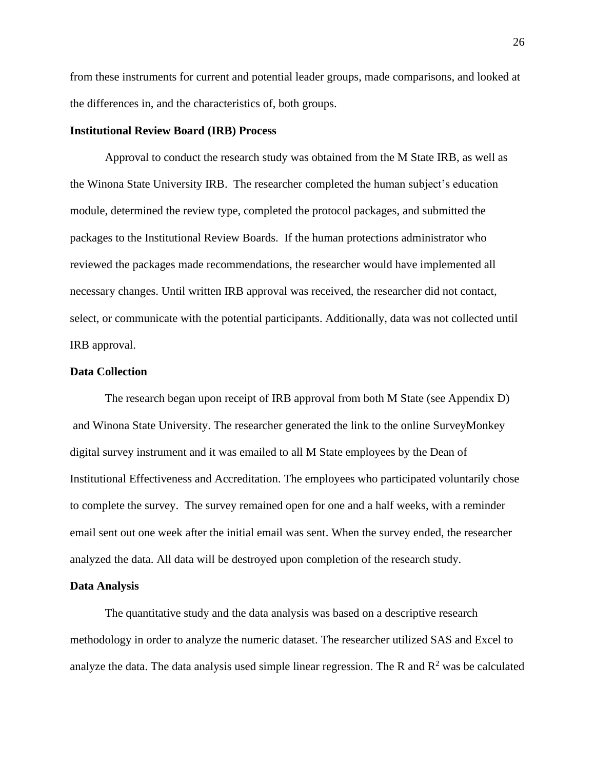from these instruments for current and potential leader groups, made comparisons, and looked at the differences in, and the characteristics of, both groups.

### <span id="page-26-0"></span>**Institutional Review Board (IRB) Process**

Approval to conduct the research study was obtained from the M State IRB, as well as the Winona State University IRB. The researcher completed the human subject's education module, determined the review type, completed the protocol packages, and submitted the packages to the Institutional Review Boards. If the human protections administrator who reviewed the packages made recommendations, the researcher would have implemented all necessary changes. Until written IRB approval was received, the researcher did not contact, select, or communicate with the potential participants. Additionally, data was not collected until IRB approval.

### <span id="page-26-1"></span>**Data Collection**

The research began upon receipt of IRB approval from both M State (see Appendix D) and Winona State University. The researcher generated the link to the online SurveyMonkey digital survey instrument and it was emailed to all M State employees by the Dean of Institutional Effectiveness and Accreditation. The employees who participated voluntarily chose to complete the survey. The survey remained open for one and a half weeks, with a reminder email sent out one week after the initial email was sent. When the survey ended, the researcher analyzed the data. All data will be destroyed upon completion of the research study.

#### <span id="page-26-2"></span>**Data Analysis**

The quantitative study and the data analysis was based on a descriptive research methodology in order to analyze the numeric dataset. The researcher utilized SAS and Excel to analyze the data. The data analysis used simple linear regression. The R and  $\mathbb{R}^2$  was be calculated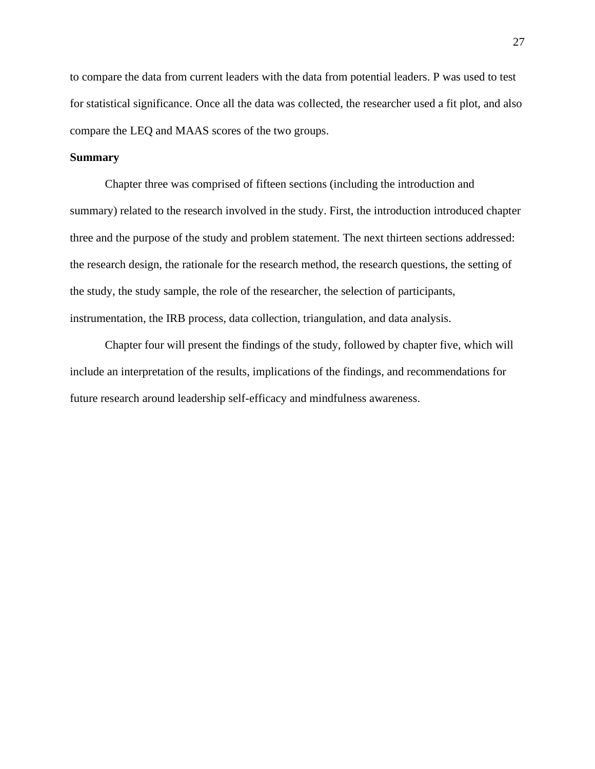to compare the data from current leaders with the data from potential leaders. P was used to test for statistical significance. Once all the data was collected, the researcher used a fit plot, and also compare the LEQ and MAAS scores of the two groups.

### <span id="page-27-0"></span>**Summary**

Chapter three was comprised of fifteen sections (including the introduction and summary) related to the research involved in the study. First, the introduction introduced chapter three and the purpose of the study and problem statement. The next thirteen sections addressed: the research design, the rationale for the research method, the research questions, the setting of the study, the study sample, the role of the researcher, the selection of participants, instrumentation, the IRB process, data collection, triangulation, and data analysis.

Chapter four will present the findings of the study, followed by chapter five, which will include an interpretation of the results, implications of the findings, and recommendations for future research around leadership self-efficacy and mindfulness awareness.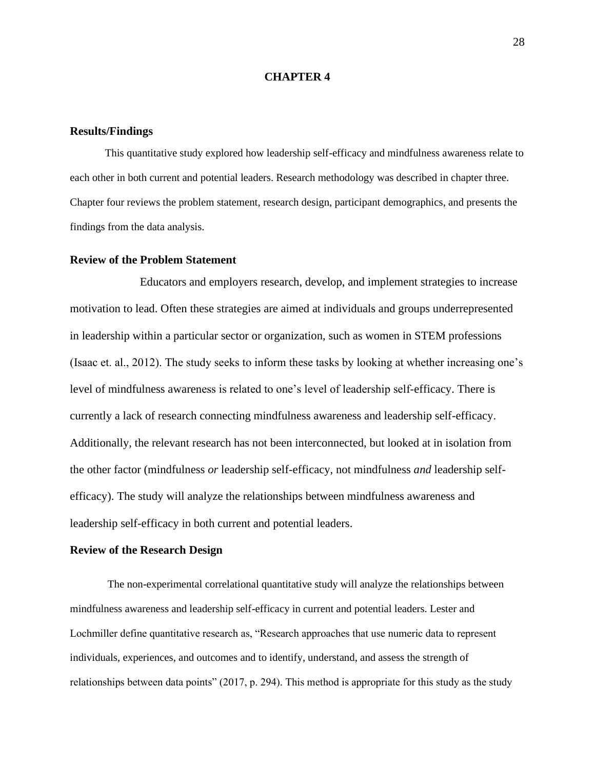#### **CHAPTER 4**

#### <span id="page-28-1"></span><span id="page-28-0"></span>**Results/Findings**

This quantitative study explored how leadership self-efficacy and mindfulness awareness relate to each other in both current and potential leaders. Research methodology was described in chapter three. Chapter four reviews the problem statement, research design, participant demographics, and presents the findings from the data analysis.

#### <span id="page-28-2"></span>**Review of the Problem Statement**

Educators and employers research, develop, and implement strategies to increase motivation to lead. Often these strategies are aimed at individuals and groups underrepresented in leadership within a particular sector or organization, such as women in STEM professions (Isaac et. al., 2012). The study seeks to inform these tasks by looking at whether increasing one's level of mindfulness awareness is related to one's level of leadership self-efficacy. There is currently a lack of research connecting mindfulness awareness and leadership self-efficacy. Additionally, the relevant research has not been interconnected, but looked at in isolation from the other factor (mindfulness *or* leadership self-efficacy, not mindfulness *and* leadership selfefficacy). The study will analyze the relationships between mindfulness awareness and leadership self-efficacy in both current and potential leaders.

#### <span id="page-28-3"></span>**Review of the Research Design**

The non-experimental correlational quantitative study will analyze the relationships between mindfulness awareness and leadership self-efficacy in current and potential leaders. Lester and Lochmiller define quantitative research as, "Research approaches that use numeric data to represent individuals, experiences, and outcomes and to identify, understand, and assess the strength of relationships between data points" (2017, p. 294). This method is appropriate for this study as the study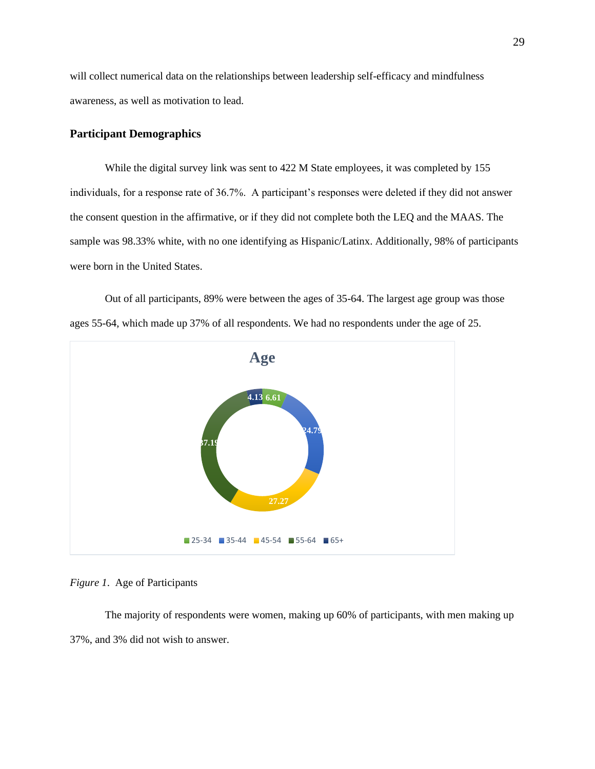will collect numerical data on the relationships between leadership self-efficacy and mindfulness awareness, as well as motivation to lead.

# <span id="page-29-0"></span>**Participant Demographics**

While the digital survey link was sent to 422 M State employees, it was completed by 155 individuals, for a response rate of 36.7%. A participant's responses were deleted if they did not answer the consent question in the affirmative, or if they did not complete both the LEQ and the MAAS. The sample was 98.33% white, with no one identifying as Hispanic/Latinx. Additionally, 98% of participants were born in the United States.

Out of all participants, 89% were between the ages of 35-64. The largest age group was those ages 55-64, which made up 37% of all respondents. We had no respondents under the age of 25.



### *Figure 1*. Age of Participants

The majority of respondents were women, making up 60% of participants, with men making up 37%, and 3% did not wish to answer.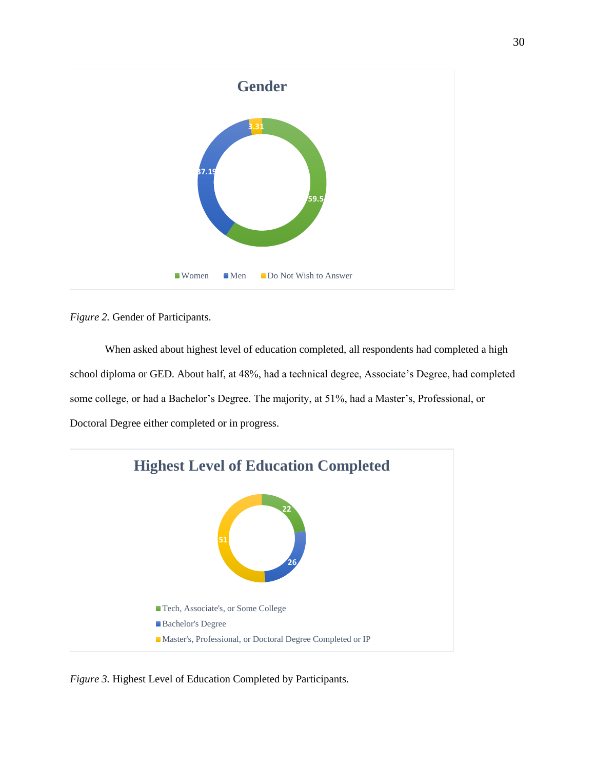

*Figure 2.* Gender of Participants.

When asked about highest level of education completed, all respondents had completed a high school diploma or GED. About half, at 48%, had a technical degree, Associate's Degree, had completed some college, or had a Bachelor's Degree. The majority, at 51%, had a Master's, Professional, or Doctoral Degree either completed or in progress.



*Figure 3.* Highest Level of Education Completed by Participants.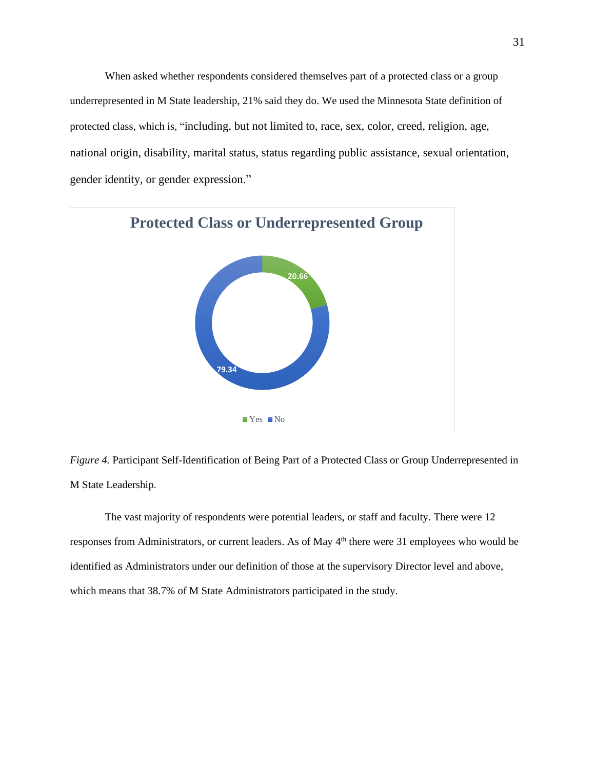When asked whether respondents considered themselves part of a protected class or a group underrepresented in M State leadership, 21% said they do. We used the Minnesota State definition of protected class, which is, "including, but not limited to, race, sex, color, creed, religion, age, national origin, disability, marital status, status regarding public assistance, sexual orientation, gender identity, or gender expression."



*Figure 4.* Participant Self-Identification of Being Part of a Protected Class or Group Underrepresented in M State Leadership.

The vast majority of respondents were potential leaders, or staff and faculty. There were 12 responses from Administrators, or current leaders. As of May 4<sup>th</sup> there were 31 employees who would be identified as Administrators under our definition of those at the supervisory Director level and above, which means that 38.7% of M State Administrators participated in the study.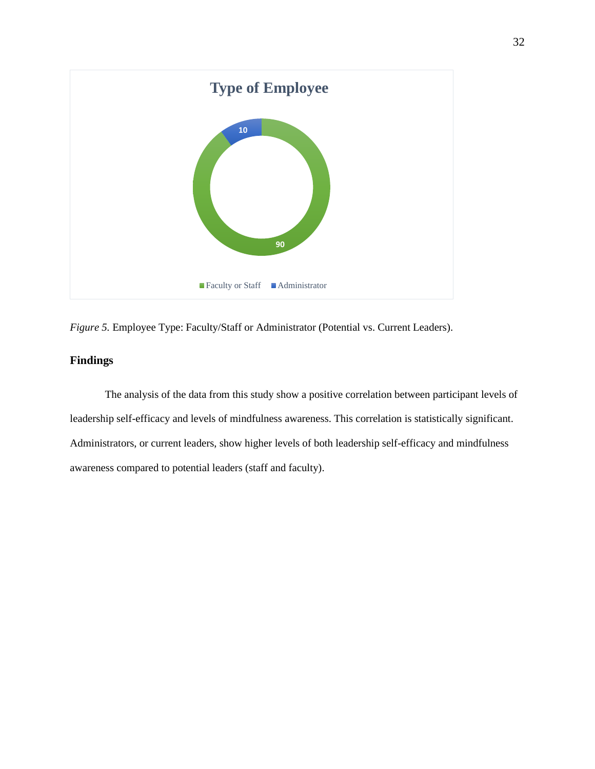

*Figure 5.* Employee Type: Faculty/Staff or Administrator (Potential vs. Current Leaders).

# <span id="page-32-0"></span>**Findings**

The analysis of the data from this study show a positive correlation between participant levels of leadership self-efficacy and levels of mindfulness awareness. This correlation is statistically significant. Administrators, or current leaders, show higher levels of both leadership self-efficacy and mindfulness awareness compared to potential leaders (staff and faculty).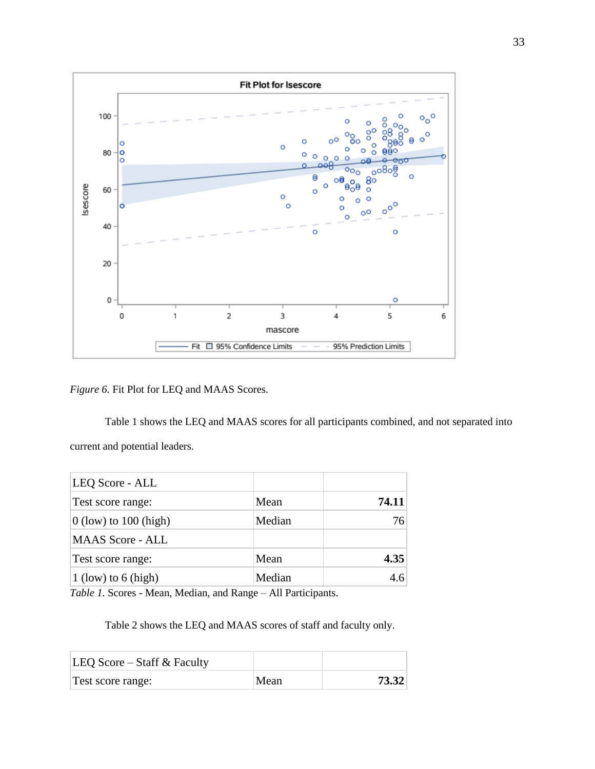

*Figure 6.* Fit Plot for LEQ and MAAS Scores.

Table 1 shows the LEQ and MAAS scores for all participants combined, and not separated into current and potential leaders.

| LEQ Score - ALL         |        |       |
|-------------------------|--------|-------|
| Test score range:       | Mean   | 74.11 |
| $0$ (low) to 100 (high) | Median | 76    |
| <b>MAAS</b> Score - ALL |        |       |
| Test score range:       | Mean   | 4.35  |
| $1$ (low) to 6 (high)   | Median | 4.6   |

*Table 1.* Scores - Mean, Median, and Range – All Participants.

Table 2 shows the LEQ and MAAS scores of staff and faculty only.

| LEQ Score – Staff $&$ Faculty |      |       |
|-------------------------------|------|-------|
| Test score range:             | Mean | 73.32 |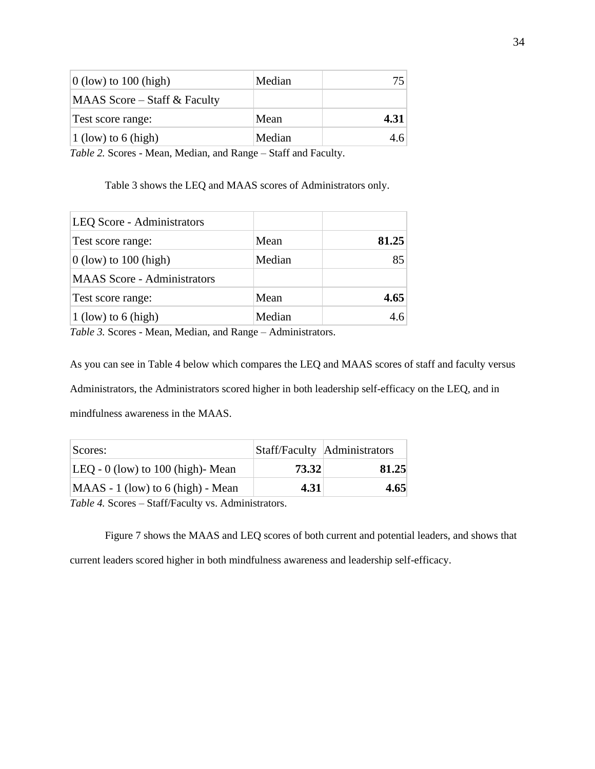| Median | 75.  |
|--------|------|
|        |      |
| Mean   | 4.31 |
| Median | 4.6  |
|        |      |

*Table 2.* Scores - Mean, Median, and Range – Staff and Faculty.

Table 3 shows the LEQ and MAAS scores of Administrators only.

| LEQ Score - Administrators         |        |       |
|------------------------------------|--------|-------|
| Test score range:                  | Mean   | 81.25 |
| $0$ (low) to 100 (high)            | Median | 85    |
| <b>MAAS</b> Score - Administrators |        |       |
| Test score range:                  | Mean   | 4.65  |
| 1 (low) to 6 (high)                | Median | 4.6   |

*Table 3.* Scores - Mean, Median, and Range – Administrators.

As you can see in Table 4 below which compares the LEQ and MAAS scores of staff and faculty versus Administrators, the Administrators scored higher in both leadership self-efficacy on the LEQ, and in mindfulness awareness in the MAAS.

| Scores:                             |       | Staff/Faculty Administrators |
|-------------------------------------|-------|------------------------------|
| $LEQ - 0$ (low) to 100 (high)-Mean  | 73.32 | 81.25                        |
| $MAAS - 1$ (low) to 6 (high) - Mean | 4.31  | 4.65                         |

*Table 4.* Scores – Staff/Faculty vs. Administrators.

Figure 7 shows the MAAS and LEQ scores of both current and potential leaders, and shows that current leaders scored higher in both mindfulness awareness and leadership self-efficacy.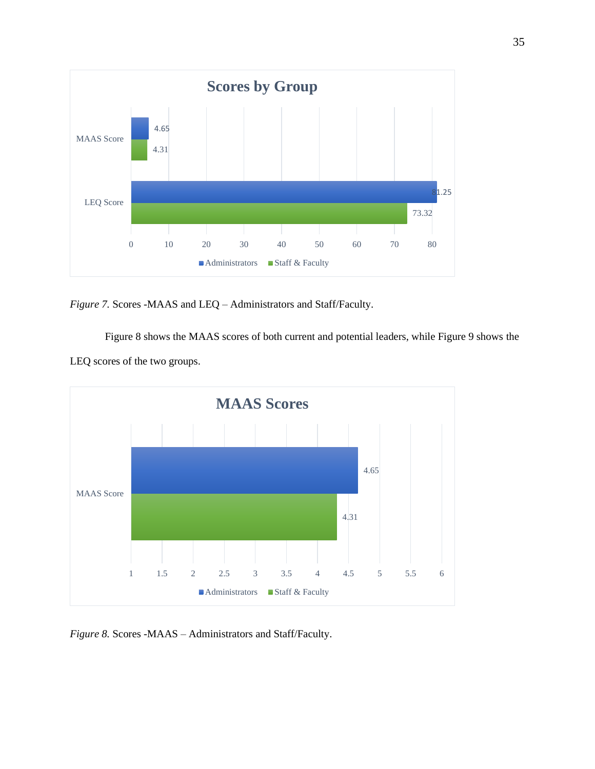

*Figure 7.* Scores -MAAS and LEQ – Administrators and Staff/Faculty.

Figure 8 shows the MAAS scores of both current and potential leaders, while Figure 9 shows the LEQ scores of the two groups.



*Figure 8.* Scores -MAAS – Administrators and Staff/Faculty.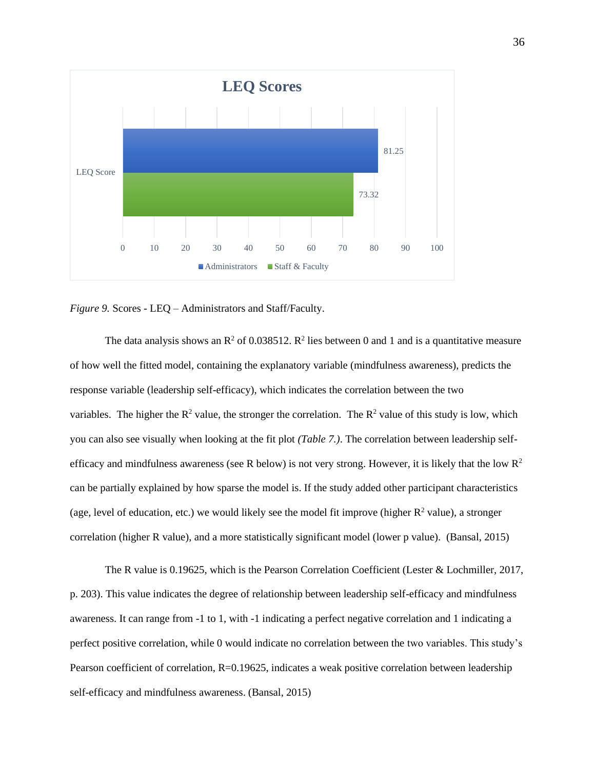

*Figure 9.* Scores - LEQ – Administrators and Staff/Faculty.

The data analysis shows an  $\mathbb{R}^2$  of 0.038512.  $\mathbb{R}^2$  lies between 0 and 1 and is a quantitative measure of how well the fitted model, containing the explanatory variable (mindfulness awareness), predicts the response variable (leadership self-efficacy), which indicates the correlation between the two variables. The higher the  $R^2$  value, the stronger the correlation. The  $R^2$  value of this study is low, which you can also see visually when looking at the fit plot *(Table 7.)*. The correlation between leadership selfefficacy and mindfulness awareness (see R below) is not very strong. However, it is likely that the low  $\mathbb{R}^2$ can be partially explained by how sparse the model is. If the study added other participant characteristics (age, level of education, etc.) we would likely see the model fit improve (higher  $R^2$  value), a stronger correlation (higher R value), and a more statistically significant model (lower p value). (Bansal, 2015)

The R value is 0.19625, which is the Pearson Correlation Coefficient (Lester & Lochmiller, 2017, p. 203). This value indicates the degree of relationship between leadership self-efficacy and mindfulness awareness. It can range from -1 to 1, with -1 indicating a perfect negative correlation and 1 indicating a perfect positive correlation, while 0 would indicate no correlation between the two variables. This study's Pearson coefficient of correlation, R=0.19625, indicates a weak positive correlation between leadership self-efficacy and mindfulness awareness. (Bansal, 2015)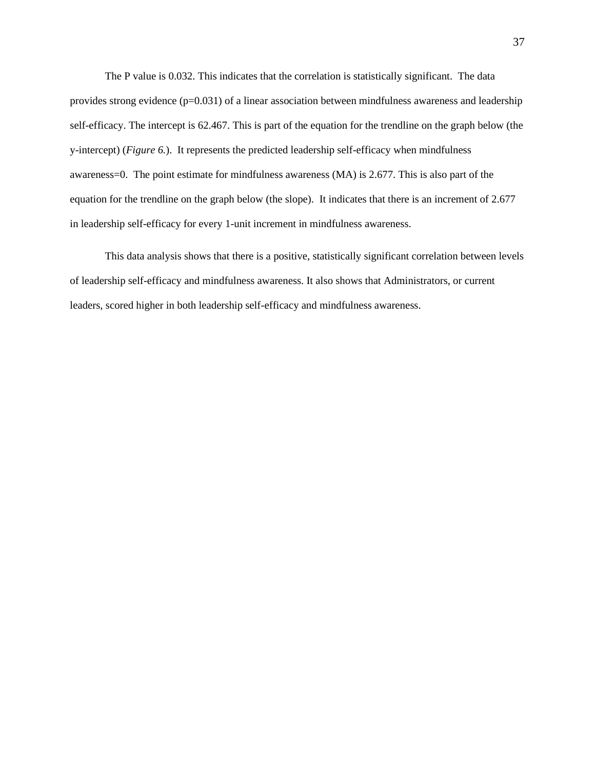The P value is 0.032. This indicates that the correlation is statistically significant. The data provides strong evidence (p=0.031) of a linear association between mindfulness awareness and leadership self-efficacy. The intercept is 62.467. This is part of the equation for the trendline on the graph below (the y-intercept) (*Figure 6.*). It represents the predicted leadership self-efficacy when mindfulness awareness=0. The point estimate for mindfulness awareness (MA) is 2.677. This is also part of the equation for the trendline on the graph below (the slope). It indicates that there is an increment of 2.677 in leadership self-efficacy for every 1-unit increment in mindfulness awareness.

This data analysis shows that there is a positive, statistically significant correlation between levels of leadership self-efficacy and mindfulness awareness. It also shows that Administrators, or current leaders, scored higher in both leadership self-efficacy and mindfulness awareness.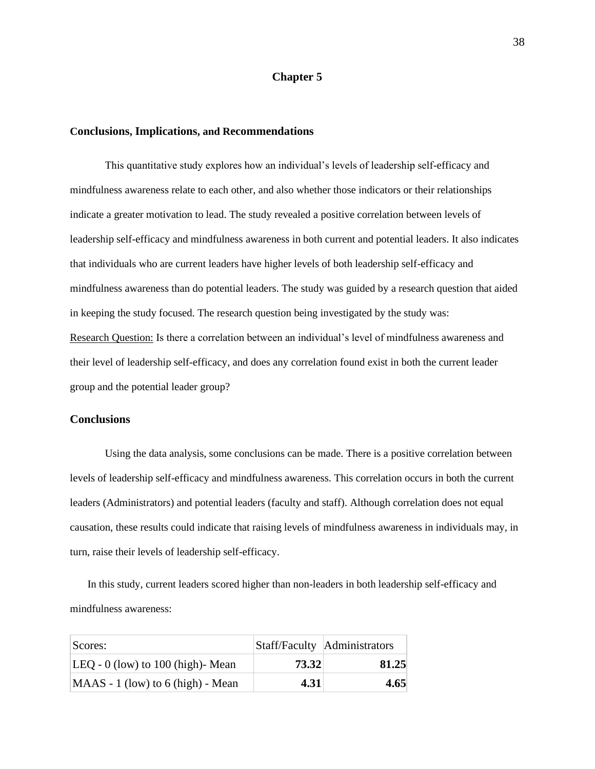#### **Chapter 5**

#### <span id="page-38-1"></span><span id="page-38-0"></span>**Conclusions, Implications, and Recommendations**

This quantitative study explores how an individual's levels of leadership self-efficacy and mindfulness awareness relate to each other, and also whether those indicators or their relationships indicate a greater motivation to lead. The study revealed a positive correlation between levels of leadership self-efficacy and mindfulness awareness in both current and potential leaders. It also indicates that individuals who are current leaders have higher levels of both leadership self-efficacy and mindfulness awareness than do potential leaders. The study was guided by a research question that aided in keeping the study focused. The research question being investigated by the study was: Research Question: Is there a correlation between an individual's level of mindfulness awareness and their level of leadership self-efficacy, and does any correlation found exist in both the current leader group and the potential leader group?

#### <span id="page-38-2"></span>**Conclusions**

Using the data analysis, some conclusions can be made. There is a positive correlation between levels of leadership self-efficacy and mindfulness awareness. This correlation occurs in both the current leaders (Administrators) and potential leaders (faculty and staff). Although correlation does not equal causation, these results could indicate that raising levels of mindfulness awareness in individuals may, in turn, raise their levels of leadership self-efficacy.

In this study, current leaders scored higher than non-leaders in both leadership self-efficacy and mindfulness awareness:

| Scores:                              |       | Staff/Faculty Administrators |
|--------------------------------------|-------|------------------------------|
| $ LEQ - 0$ (low) to 100 (high)- Mean | 73.32 | 81.25                        |
| $MAAS - 1$ (low) to 6 (high) - Mean  | 4.31  | 4.65                         |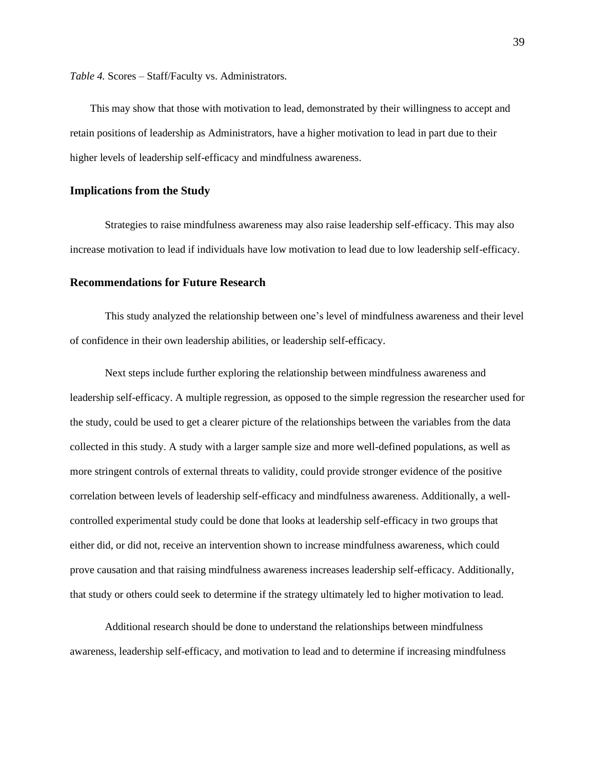*Table 4.* Scores – Staff/Faculty vs. Administrators.

This may show that those with motivation to lead, demonstrated by their willingness to accept and retain positions of leadership as Administrators, have a higher motivation to lead in part due to their higher levels of leadership self-efficacy and mindfulness awareness.

### <span id="page-39-0"></span>**Implications from the Study**

Strategies to raise mindfulness awareness may also raise leadership self-efficacy. This may also increase motivation to lead if individuals have low motivation to lead due to low leadership self-efficacy.

#### <span id="page-39-1"></span>**Recommendations for Future Research**

This study analyzed the relationship between one's level of mindfulness awareness and their level of confidence in their own leadership abilities, or leadership self-efficacy.

Next steps include further exploring the relationship between mindfulness awareness and leadership self-efficacy. A multiple regression, as opposed to the simple regression the researcher used for the study, could be used to get a clearer picture of the relationships between the variables from the data collected in this study. A study with a larger sample size and more well-defined populations, as well as more stringent controls of external threats to validity, could provide stronger evidence of the positive correlation between levels of leadership self-efficacy and mindfulness awareness. Additionally, a wellcontrolled experimental study could be done that looks at leadership self-efficacy in two groups that either did, or did not, receive an intervention shown to increase mindfulness awareness, which could prove causation and that raising mindfulness awareness increases leadership self-efficacy. Additionally, that study or others could seek to determine if the strategy ultimately led to higher motivation to lead.

Additional research should be done to understand the relationships between mindfulness awareness, leadership self-efficacy, and motivation to lead and to determine if increasing mindfulness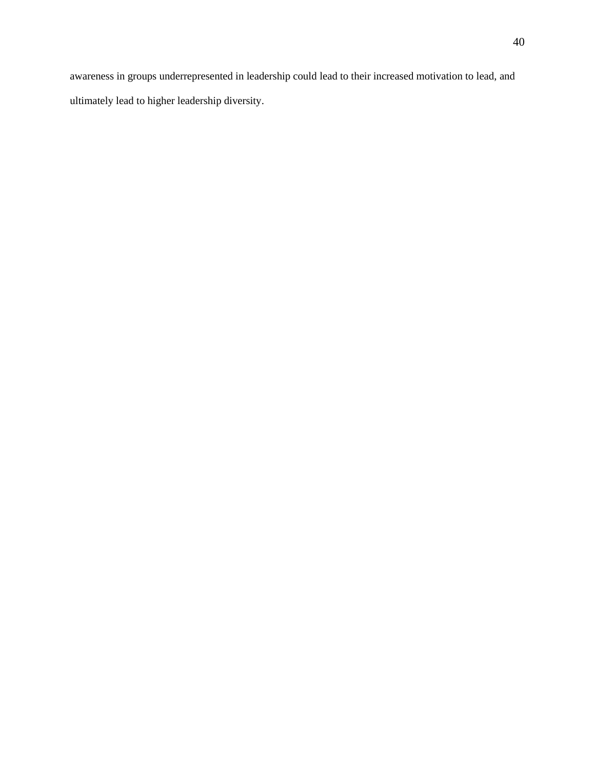awareness in groups underrepresented in leadership could lead to their increased motivation to lead, and ultimately lead to higher leadership diversity.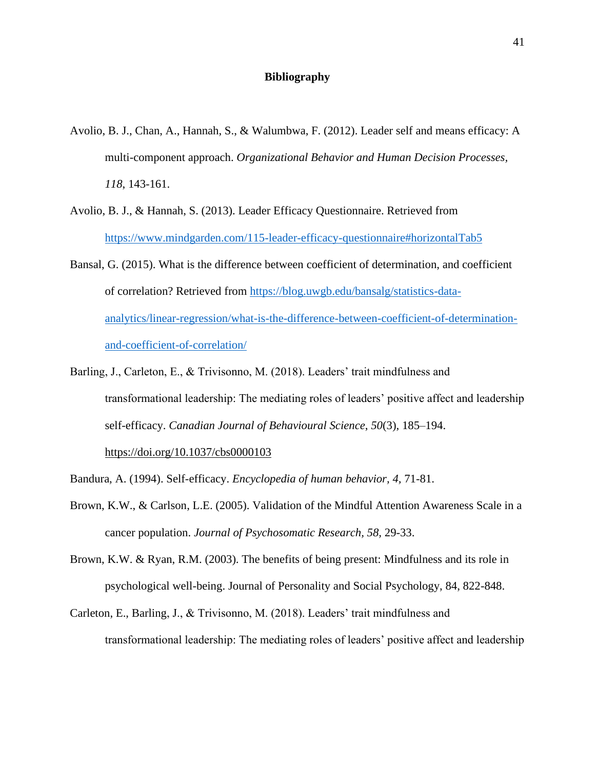### **Bibliography**

- <span id="page-41-0"></span>Avolio, B. J., Chan, A., Hannah, S., & Walumbwa, F. (2012). Leader self and means efficacy: A multi-component approach. *Organizational Behavior and Human Decision Processes, 118*, 143-161.
- Avolio, B. J., & Hannah, S. (2013). Leader Efficacy Questionnaire. Retrieved from <https://www.mindgarden.com/115-leader-efficacy-questionnaire#horizontalTab5>
- Bansal, G. (2015). What is the difference between coefficient of determination, and coefficient of correlation? Retrieved from [https://blog.uwgb.edu/bansalg/statistics-data](https://blog.uwgb.edu/bansalg/statistics-data-analytics/linear-regression/what-is-the-difference-between-coefficient-of-determination-and-coefficient-of-correlation/)[analytics/linear-regression/what-is-the-difference-between-coefficient-of-determination](https://blog.uwgb.edu/bansalg/statistics-data-analytics/linear-regression/what-is-the-difference-between-coefficient-of-determination-and-coefficient-of-correlation/)[and-coefficient-of-correlation/](https://blog.uwgb.edu/bansalg/statistics-data-analytics/linear-regression/what-is-the-difference-between-coefficient-of-determination-and-coefficient-of-correlation/)
- Barling, J., Carleton, E., & Trivisonno, M. (2018). Leaders' trait mindfulness and transformational leadership: The mediating roles of leaders' positive affect and leadership self-efficacy. *Canadian Journal of Behavioural Science*, *50*(3), 185–194.

<https://doi.org/10.1037/cbs0000103>

Bandura, A. (1994). Self-efficacy. *Encyclopedia of human behavior, 4,* 71-81.

- Brown, K.W., & Carlson, L.E. (2005). Validation of the Mindful Attention Awareness Scale in a cancer population. *Journal of Psychosomatic Research, 58,* 29-33.
- Brown, K.W. & Ryan, R.M. (2003). The benefits of being present: Mindfulness and its role in psychological well-being. Journal of Personality and Social Psychology, 84, 822-848.
- Carleton, E., Barling, J., & Trivisonno, M. (2018). Leaders' trait mindfulness and transformational leadership: The mediating roles of leaders' positive affect and leadership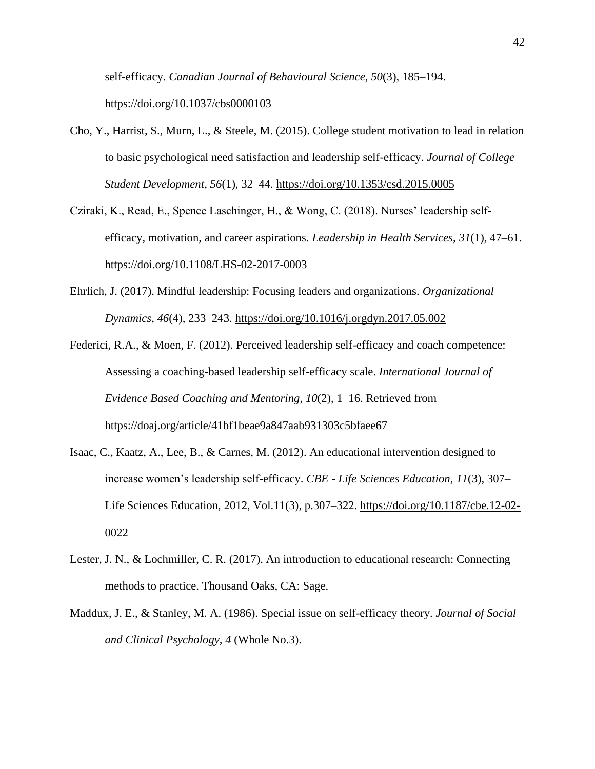self-efficacy. *Canadian Journal of Behavioural Science*, *50*(3), 185–194. <https://doi.org/10.1037/cbs0000103>

- Cho, Y., Harrist, S., Murn, L., & Steele, M. (2015). College student motivation to lead in relation to basic psychological need satisfaction and leadership self-efficacy. *Journal of College Student Development*, *56*(1), 32–44.<https://doi.org/10.1353/csd.2015.0005>
- Cziraki, K., Read, E., Spence Laschinger, H., & Wong, C. (2018). Nurses' leadership selfefficacy, motivation, and career aspirations. *Leadership in Health Services*, *31*(1), 47–61. <https://doi.org/10.1108/LHS-02-2017-0003>
- Ehrlich, J. (2017). Mindful leadership: Focusing leaders and organizations. *Organizational Dynamics*, *46*(4), 233–243.<https://doi.org/10.1016/j.orgdyn.2017.05.002>
- Federici, R.A., & Moen, F. (2012). Perceived leadership self-efficacy and coach competence: Assessing a coaching-based leadership self-efficacy scale. *International Journal of Evidence Based Coaching and Mentoring*, *10*(2), 1–16. Retrieved from <https://doaj.org/article/41bf1beae9a847aab931303c5bfaee67>
- Isaac, C., Kaatz, A., Lee, B., & Carnes, M. (2012). An educational intervention designed to increase women's leadership self-efficacy. *CBE - Life Sciences Education*, *11*(3), 307– Life Sciences Education, 2012, Vol.11(3), p.307–322. [https://doi.org/10.1187/cbe.12-02-](https://doi.org/10.1187/cbe.12-02-0022) [0022](https://doi.org/10.1187/cbe.12-02-0022)
- Lester, J. N., & Lochmiller, C. R. (2017). An introduction to educational research: Connecting methods to practice. Thousand Oaks, CA: Sage.
- Maddux, J. E., & Stanley, M. A. (1986). Special issue on self-efficacy theory. *Journal of Social and Clinical Psychology, 4* (Whole No.3).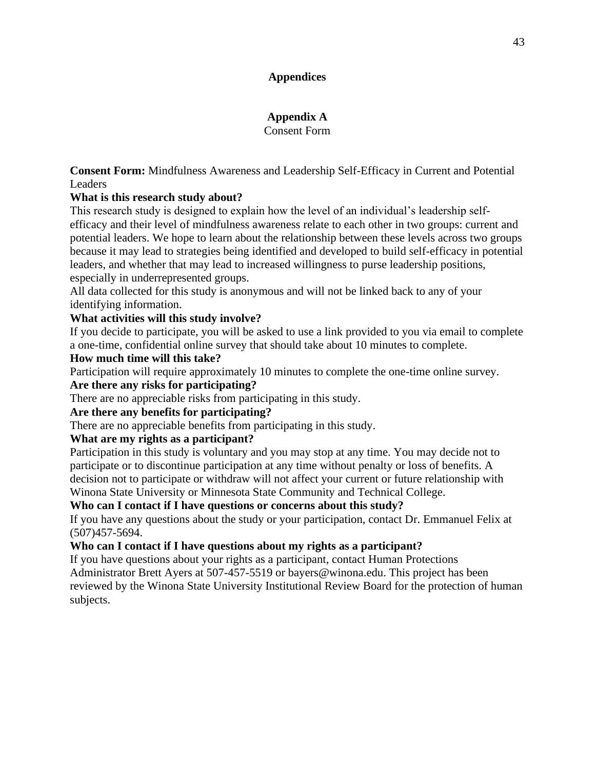# **Appendices**

# **Appendix A**

Consent Form

<span id="page-43-2"></span><span id="page-43-1"></span><span id="page-43-0"></span>**Consent Form:** Mindfulness Awareness and Leadership Self-Efficacy in Current and Potential Leaders

# **What is this research study about?**

This research study is designed to explain how the level of an individual's leadership selfefficacy and their level of mindfulness awareness relate to each other in two groups: current and potential leaders. We hope to learn about the relationship between these levels across two groups because it may lead to strategies being identified and developed to build self-efficacy in potential leaders, and whether that may lead to increased willingness to purse leadership positions, especially in underrepresented groups.

All data collected for this study is anonymous and will not be linked back to any of your identifying information.

# **What activities will this study involve?**

If you decide to participate, you will be asked to use a link provided to you via email to complete a one-time, confidential online survey that should take about 10 minutes to complete.

# **How much time will this take?**

Participation will require approximately 10 minutes to complete the one-time online survey.

# **Are there any risks for participating?**

There are no appreciable risks from participating in this study.

# **Are there any benefits for participating?**

There are no appreciable benefits from participating in this study.

# **What are my rights as a participant?**

Participation in this study is voluntary and you may stop at any time. You may decide not to participate or to discontinue participation at any time without penalty or loss of benefits. A decision not to participate or withdraw will not affect your current or future relationship with Winona State University or Minnesota State Community and Technical College.

# **Who can I contact if I have questions or concerns about this study?**

If you have any questions about the study or your participation, contact Dr. Emmanuel Felix at (507)457-5694.

# **Who can I contact if I have questions about my rights as a participant?**

If you have questions about your rights as a participant, contact Human Protections Administrator Brett Ayers at 507-457-5519 or bayers@winona.edu. This project has been reviewed by the Winona State University Institutional Review Board for the protection of human subjects.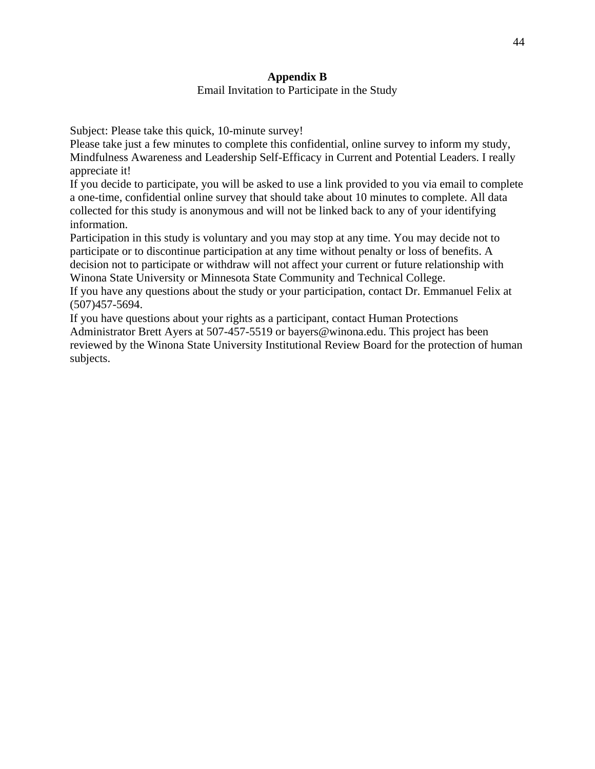# **Appendix B** Email Invitation to Participate in the Study

<span id="page-44-1"></span><span id="page-44-0"></span>Subject: Please take this quick, 10-minute survey!

Please take just a few minutes to complete this confidential, online survey to inform my study, Mindfulness Awareness and Leadership Self-Efficacy in Current and Potential Leaders. I really appreciate it!

If you decide to participate, you will be asked to use a link provided to you via email to complete a one-time, confidential online survey that should take about 10 minutes to complete. All data collected for this study is anonymous and will not be linked back to any of your identifying information.

Participation in this study is voluntary and you may stop at any time. You may decide not to participate or to discontinue participation at any time without penalty or loss of benefits. A decision not to participate or withdraw will not affect your current or future relationship with Winona State University or Minnesota State Community and Technical College.

If you have any questions about the study or your participation, contact Dr. Emmanuel Felix at (507)457-5694.

If you have questions about your rights as a participant, contact Human Protections Administrator Brett Ayers at 507-457-5519 or bayers@winona.edu. This project has been reviewed by the Winona State University Institutional Review Board for the protection of human subjects.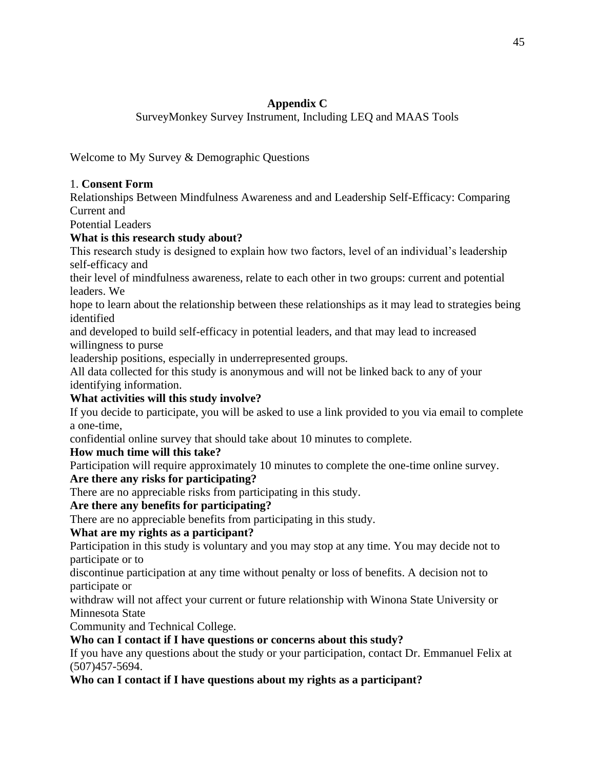# **Appendix C**

SurveyMonkey Survey Instrument, Including LEQ and MAAS Tools

<span id="page-45-1"></span><span id="page-45-0"></span>Welcome to My Survey & Demographic Questions

# 1. **Consent Form**

Relationships Between Mindfulness Awareness and and Leadership Self-Efficacy: Comparing Current and

Potential Leaders

# **What is this research study about?**

This research study is designed to explain how two factors, level of an individual's leadership self-efficacy and

their level of mindfulness awareness, relate to each other in two groups: current and potential leaders. We

hope to learn about the relationship between these relationships as it may lead to strategies being identified

and developed to build self-efficacy in potential leaders, and that may lead to increased willingness to purse

leadership positions, especially in underrepresented groups.

All data collected for this study is anonymous and will not be linked back to any of your identifying information.

# **What activities will this study involve?**

If you decide to participate, you will be asked to use a link provided to you via email to complete a one-time,

confidential online survey that should take about 10 minutes to complete.

# **How much time will this take?**

Participation will require approximately 10 minutes to complete the one-time online survey.

# **Are there any risks for participating?**

There are no appreciable risks from participating in this study.

# **Are there any benefits for participating?**

There are no appreciable benefits from participating in this study.

# **What are my rights as a participant?**

Participation in this study is voluntary and you may stop at any time. You may decide not to participate or to

discontinue participation at any time without penalty or loss of benefits. A decision not to participate or

withdraw will not affect your current or future relationship with Winona State University or Minnesota State

Community and Technical College.

# **Who can I contact if I have questions or concerns about this study?**

If you have any questions about the study or your participation, contact Dr. Emmanuel Felix at (507)457-5694.

# **Who can I contact if I have questions about my rights as a participant?**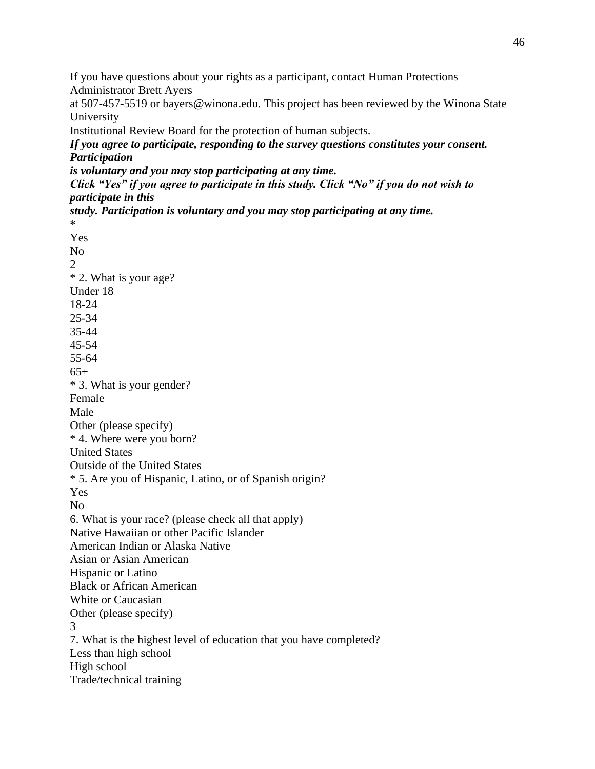If you have questions about your rights as a participant, contact Human Protections Administrator Brett Ayers

at 507-457-5519 or bayers@winona.edu. This project has been reviewed by the Winona State University

Institutional Review Board for the protection of human subjects.

*If you agree to participate, responding to the survey questions constitutes your consent. Participation*

*is voluntary and you may stop participating at any time.*

\*

*Click "Yes" if you agree to participate in this study. Click "No" if you do not wish to participate in this*

*study. Participation is voluntary and you may stop participating at any time.*

Yes No 2 \* 2. What is your age? Under 18 18-24 25-34 35-44 45-54 55-64  $65+$ \* 3. What is your gender? Female Male Other (please specify) \* 4. Where were you born? United States Outside of the United States \* 5. Are you of Hispanic, Latino, or of Spanish origin? Yes No 6. What is your race? (please check all that apply) Native Hawaiian or other Pacific Islander American Indian or Alaska Native Asian or Asian American Hispanic or Latino Black or African American White or Caucasian Other (please specify) 3 7. What is the highest level of education that you have completed? Less than high school High school Trade/technical training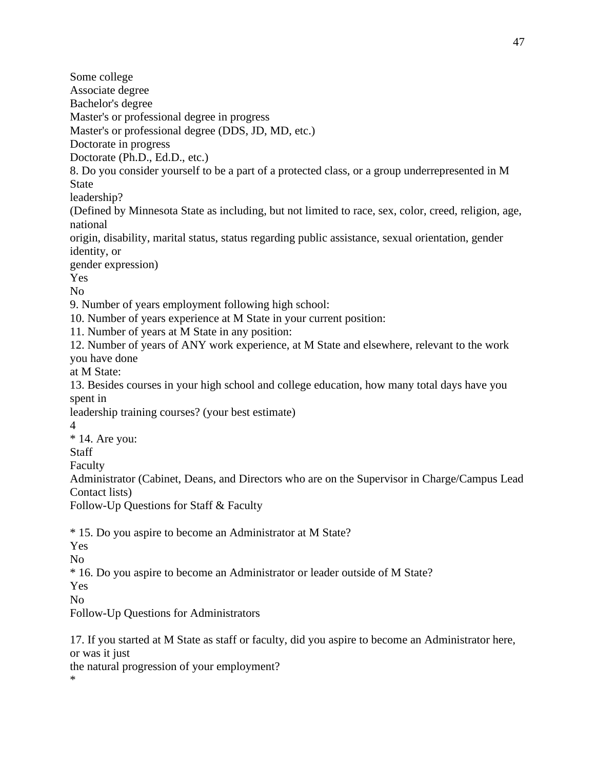Associate degree Bachelor's degree Master's or professional degree in progress Master's or professional degree (DDS, JD, MD, etc.) Doctorate in progress Doctorate (Ph.D., Ed.D., etc.) 8. Do you consider yourself to be a part of a protected class, or a group underrepresented in M (Defined by Minnesota State as including, but not limited to race, sex, color, creed, religion, age, origin, disability, marital status, status regarding public assistance, sexual orientation, gender gender expression) 9. Number of years employment following high school: 10. Number of years experience at M State in your current position: 11. Number of years at M State in any position: 12. Number of years of ANY work experience, at M State and elsewhere, relevant to the work 13. Besides courses in your high school and college education, how many total days have you leadership training courses? (your best estimate) Administrator (Cabinet, Deans, and Directors who are on the Supervisor in Charge/Campus Lead Follow-Up Questions for Staff & Faculty

\* 15. Do you aspire to become an Administrator at M State?

Yes

Some college

State

leadership?

identity, or

you have done at M State:

 $*$  14. Are you:

Contact lists)

spent in

4

Staff Faculty

national

Yes No

No

\* 16. Do you aspire to become an Administrator or leader outside of M State?

Yes

No

Follow-Up Questions for Administrators

17. If you started at M State as staff or faculty, did you aspire to become an Administrator here, or was it just

the natural progression of your employment?

\*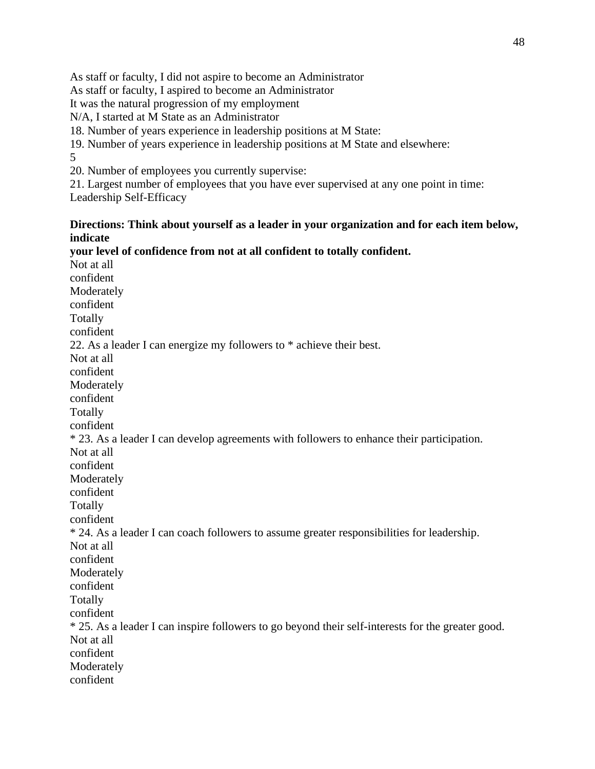As staff or faculty, I did not aspire to become an Administrator

As staff or faculty, I aspired to become an Administrator

It was the natural progression of my employment

N/A, I started at M State as an Administrator

18. Number of years experience in leadership positions at M State:

19. Number of years experience in leadership positions at M State and elsewhere: 5

20. Number of employees you currently supervise:

21. Largest number of employees that you have ever supervised at any one point in time: Leadership Self-Efficacy

# **Directions: Think about yourself as a leader in your organization and for each item below, indicate**

**your level of confidence from not at all confident to totally confident.** Not at all confident Moderately confident Totally confident 22. As a leader I can energize my followers to \* achieve their best. Not at all confident Moderately confident Totally confident \* 23. As a leader I can develop agreements with followers to enhance their participation. Not at all confident Moderately confident Totally confident \* 24. As a leader I can coach followers to assume greater responsibilities for leadership. Not at all confident Moderately confident Totally confident \* 25. As a leader I can inspire followers to go beyond their self-interests for the greater good. Not at all confident Moderately confident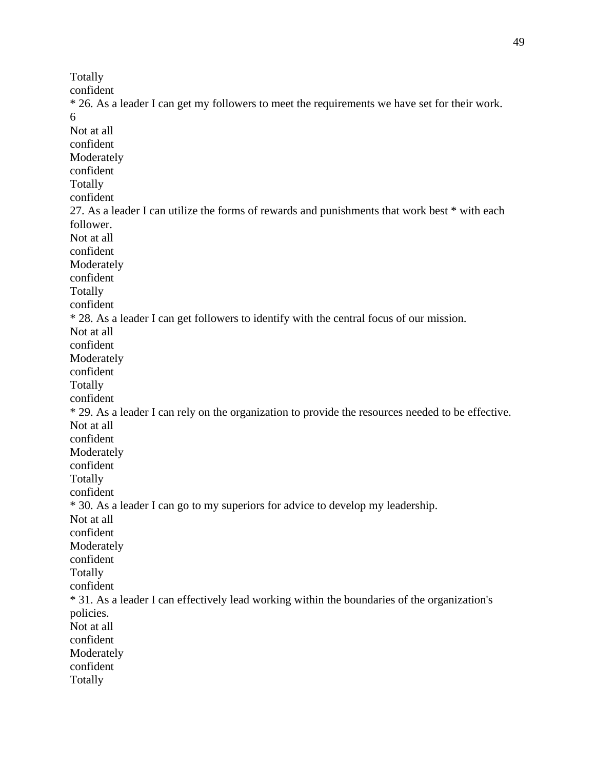Totally confident \* 26. As a leader I can get my followers to meet the requirements we have set for their work. 6 Not at all confident Moderately confident Totally confident 27. As a leader I can utilize the forms of rewards and punishments that work best \* with each follower. Not at all confident Moderately confident Totally confident \* 28. As a leader I can get followers to identify with the central focus of our mission. Not at all confident Moderately confident Totally confident \* 29. As a leader I can rely on the organization to provide the resources needed to be effective. Not at all confident Moderately confident Totally confident \* 30. As a leader I can go to my superiors for advice to develop my leadership. Not at all confident Moderately confident Totally confident \* 31. As a leader I can effectively lead working within the boundaries of the organization's policies. Not at all confident Moderately confident Totally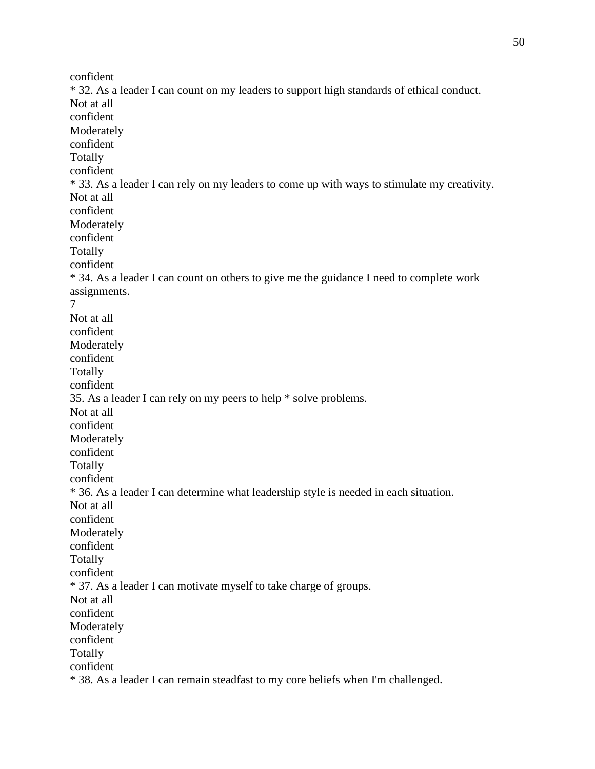confident \* 32. As a leader I can count on my leaders to support high standards of ethical conduct. Not at all confident Moderately confident Totally confident \* 33. As a leader I can rely on my leaders to come up with ways to stimulate my creativity. Not at all confident Moderately confident Totally confident \* 34. As a leader I can count on others to give me the guidance I need to complete work assignments. 7 Not at all confident Moderately confident Totally confident 35. As a leader I can rely on my peers to help \* solve problems. Not at all confident Moderately confident Totally confident \* 36. As a leader I can determine what leadership style is needed in each situation. Not at all confident Moderately confident Totally confident \* 37. As a leader I can motivate myself to take charge of groups. Not at all confident Moderately confident Totally confident \* 38. As a leader I can remain steadfast to my core beliefs when I'm challenged.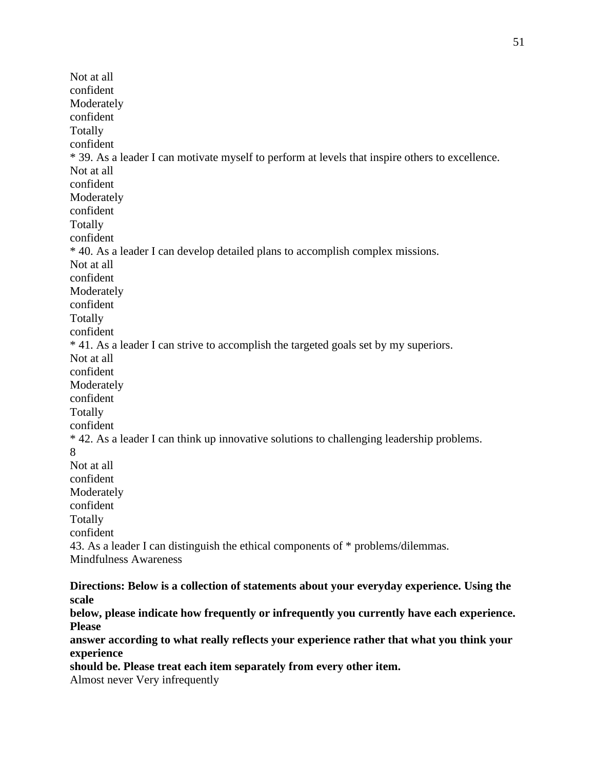Not at all confident Moderately confident Totally confident \* 39. As a leader I can motivate myself to perform at levels that inspire others to excellence. Not at all confident Moderately confident Totally confident \* 40. As a leader I can develop detailed plans to accomplish complex missions. Not at all confident Moderately confident Totally confident \* 41. As a leader I can strive to accomplish the targeted goals set by my superiors. Not at all confident Moderately confident Totally confident \* 42. As a leader I can think up innovative solutions to challenging leadership problems. 8 Not at all confident Moderately confident Totally confident 43. As a leader I can distinguish the ethical components of \* problems/dilemmas. Mindfulness Awareness

**Directions: Below is a collection of statements about your everyday experience. Using the scale**

**below, please indicate how frequently or infrequently you currently have each experience. Please**

**answer according to what really reflects your experience rather that what you think your experience**

**should be. Please treat each item separately from every other item.**

Almost never Very infrequently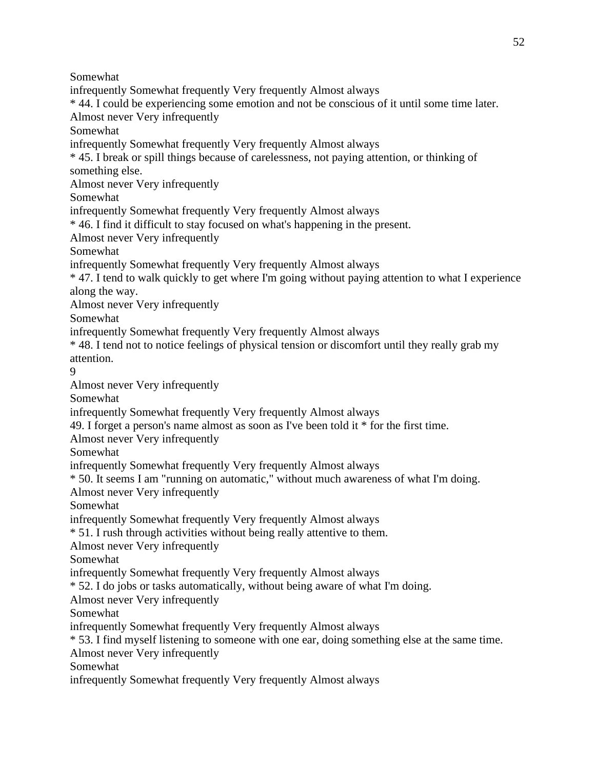Somewhat

infrequently Somewhat frequently Very frequently Almost always

\* 44. I could be experiencing some emotion and not be conscious of it until some time later.

Almost never Very infrequently

Somewhat

infrequently Somewhat frequently Very frequently Almost always

\* 45. I break or spill things because of carelessness, not paying attention, or thinking of something else.

Almost never Very infrequently

Somewhat

infrequently Somewhat frequently Very frequently Almost always

\* 46. I find it difficult to stay focused on what's happening in the present.

Almost never Very infrequently

Somewhat

infrequently Somewhat frequently Very frequently Almost always

\* 47. I tend to walk quickly to get where I'm going without paying attention to what I experience along the way.

Almost never Very infrequently

Somewhat

infrequently Somewhat frequently Very frequently Almost always

\* 48. I tend not to notice feelings of physical tension or discomfort until they really grab my attention.

9

Almost never Very infrequently

Somewhat

infrequently Somewhat frequently Very frequently Almost always

49. I forget a person's name almost as soon as I've been told it \* for the first time.

Almost never Very infrequently

Somewhat

infrequently Somewhat frequently Very frequently Almost always

\* 50. It seems I am "running on automatic," without much awareness of what I'm doing.

Almost never Very infrequently

Somewhat

infrequently Somewhat frequently Very frequently Almost always

\* 51. I rush through activities without being really attentive to them.

Almost never Very infrequently

Somewhat

infrequently Somewhat frequently Very frequently Almost always

\* 52. I do jobs or tasks automatically, without being aware of what I'm doing.

Almost never Very infrequently

Somewhat

infrequently Somewhat frequently Very frequently Almost always

\* 53. I find myself listening to someone with one ear, doing something else at the same time.

Almost never Very infrequently

Somewhat

infrequently Somewhat frequently Very frequently Almost always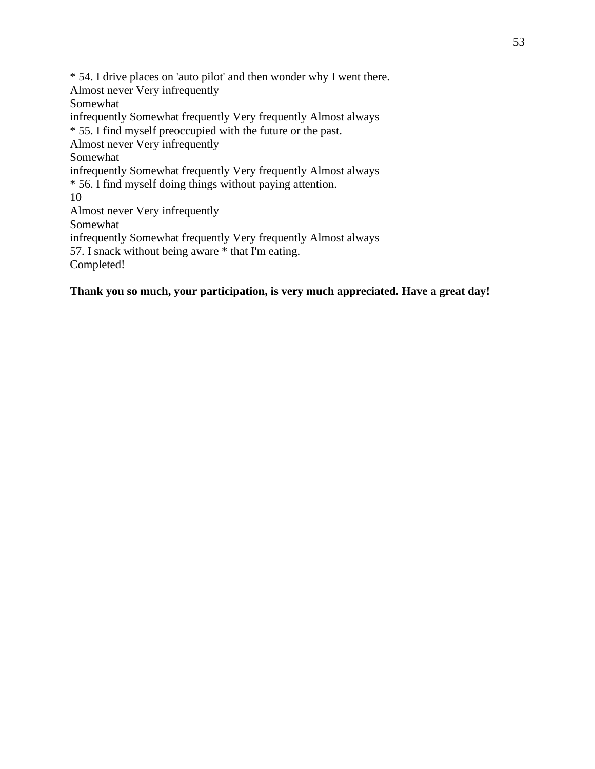\* 54. I drive places on 'auto pilot' and then wonder why I went there. Almost never Very infrequently Somewhat infrequently Somewhat frequently Very frequently Almost always \* 55. I find myself preoccupied with the future or the past. Almost never Very infrequently Somewhat infrequently Somewhat frequently Very frequently Almost always \* 56. I find myself doing things without paying attention. 10 Almost never Very infrequently Somewhat infrequently Somewhat frequently Very frequently Almost always 57. I snack without being aware \* that I'm eating. Completed!

**Thank you so much, your participation, is very much appreciated. Have a great day!**